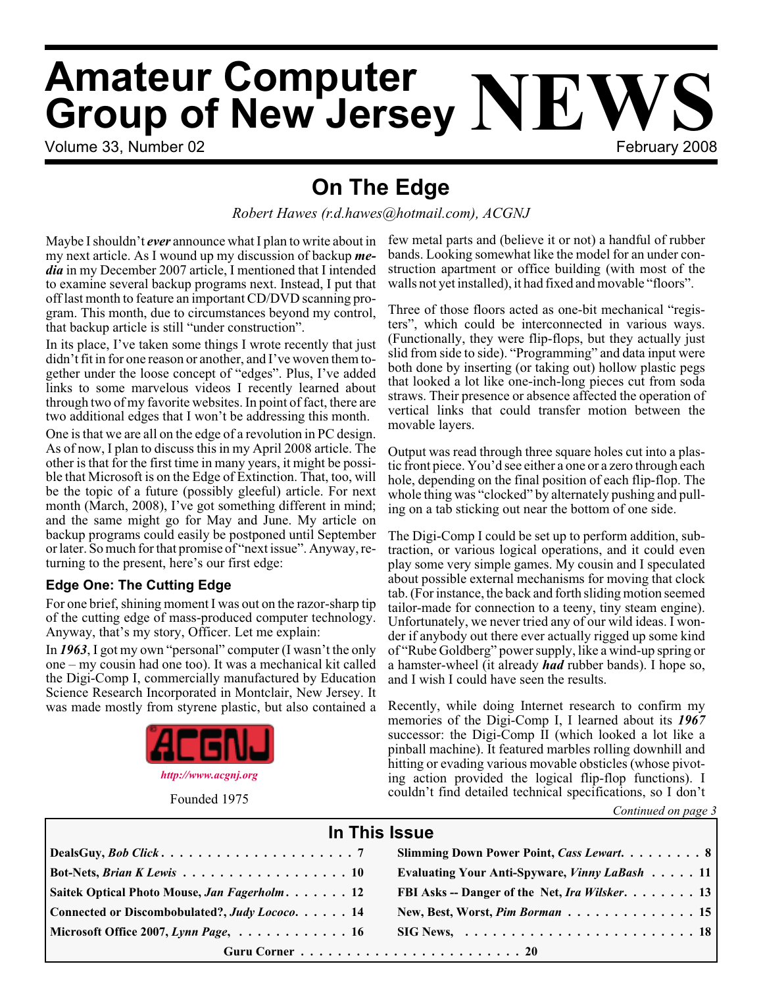# **Amateur Computer Group of New Jersey NEWS**

Volume 33, Number 02 February 2008

## **On The Edge**

*Robert Hawes (r.d.hawes@hotmail.com), ACGNJ*

Maybe I shouldn't *ever* announce what I plan to write about in my next article. As I wound up my discussion of backup *media* in my December 2007 article, I mentioned that I intended to examine several backup programs next. Instead, I put that off last month to feature an important CD/DVD scanning program. This month, due to circumstances beyond my control, that backup article is still "under construction".

In its place, I've taken some things I wrote recently that just didn't fit in for one reason or another, and I've woven them together under the loose concept of "edges". Plus, I've added links to some marvelous videos I recently learned about through two of my favorite websites. In point of fact, there are two additional edges that I won't be addressing this month.

One is that we are all on the edge of a revolution in PC design. As of now, I plan to discuss this in my April 2008 article. The other is that for the first time in many years, it might be possible that Microsoft is on the Edge of Extinction. That, too, will be the topic of a future (possibly gleeful) article. For next month (March, 2008), I've got something different in mind; and the same might go for May and June. My article on backup programs could easily be postponed until September or later. So much for that promise of "next issue". Anyway, returning to the present, here's our first edge:

#### **Edge One: The Cutting Edge**

For one brief, shining moment I was out on the razor-sharp tip of the cutting edge of mass-produced computer technology. Anyway, that's my story, Officer. Let me explain:

In *1963*, I got my own "personal" computer (I wasn't the only one – my cousin had one too). It was a mechanical kit called the Digi-Comp I, commercially manufactured by Education Science Research Incorporated in Montclair, New Jersey. It was made mostly from styrene plastic, but also contained a



Founded 1975

few metal parts and (believe it or not) a handful of rubber bands. Looking somewhat like the model for an under construction apartment or office building (with most of the walls not yet installed), it had fixed and movable "floors".

Three of those floors acted as one-bit mechanical "registers", which could be interconnected in various ways. (Functionally, they were flip-flops, but they actually just slid from side to side). "Programming" and data input were both done by inserting (or taking out) hollow plastic pegs that looked a lot like one-inch-long pieces cut from soda straws. Their presence or absence affected the operation of vertical links that could transfer motion between the movable layers.

Output was read through three square holes cut into a plastic front piece. You'd see either a one or a zero through each hole, depending on the final position of each flip-flop. The whole thing was "clocked" by alternately pushing and pulling on a tab sticking out near the bottom of one side.

The Digi-Comp I could be set up to perform addition, subtraction, or various logical operations, and it could even play some very simple games. My cousin and I speculated about possible external mechanisms for moving that clock tab. (For instance, the back and forth sliding motion seemed tailor-made for connection to a teeny, tiny steam engine). Unfortunately, we never tried any of our wild ideas. I wonder if anybody out there ever actually rigged up some kind of "Rube Goldberg" power supply, like a wind-up spring or a hamster-wheel (it already *had* rubber bands). I hope so, and I wish I could have seen the results.

Recently, while doing Internet research to confirm my memories of the Digi-Comp I, I learned about its *1967* successor: the Digi-Comp II (which looked a lot like a pinball machine). It featured marbles rolling downhill and hitting or evading various movable obsticles (whose pivoting action provided the logical flip-flop functions). I couldn't find detailed technical specifications, so I don't

*Continued on page 3*

#### **In This Issue**

|                                                                         | Slimming Down Power Point, Cass Lewart. 8                                     |  |  |  |  |
|-------------------------------------------------------------------------|-------------------------------------------------------------------------------|--|--|--|--|
|                                                                         | Evaluating Your Anti-Spyware, Vinny LaBash 11                                 |  |  |  |  |
| Saitek Optical Photo Mouse, Jan Fagerholm 12                            | FBI Asks -- Danger of the Net, Ira Wilsker. 13                                |  |  |  |  |
| Connected or Discombobulated?, Judy Lococo. 14                          | New, Best, Worst, Pim Borman 15                                               |  |  |  |  |
| Microsoft Office 2007, Lynn Page, $\dots \dots \dots \dots \dots \dots$ | $SIG News, \ldots \ldots \ldots \ldots \ldots \ldots \ldots \ldots \ldots 18$ |  |  |  |  |
|                                                                         |                                                                               |  |  |  |  |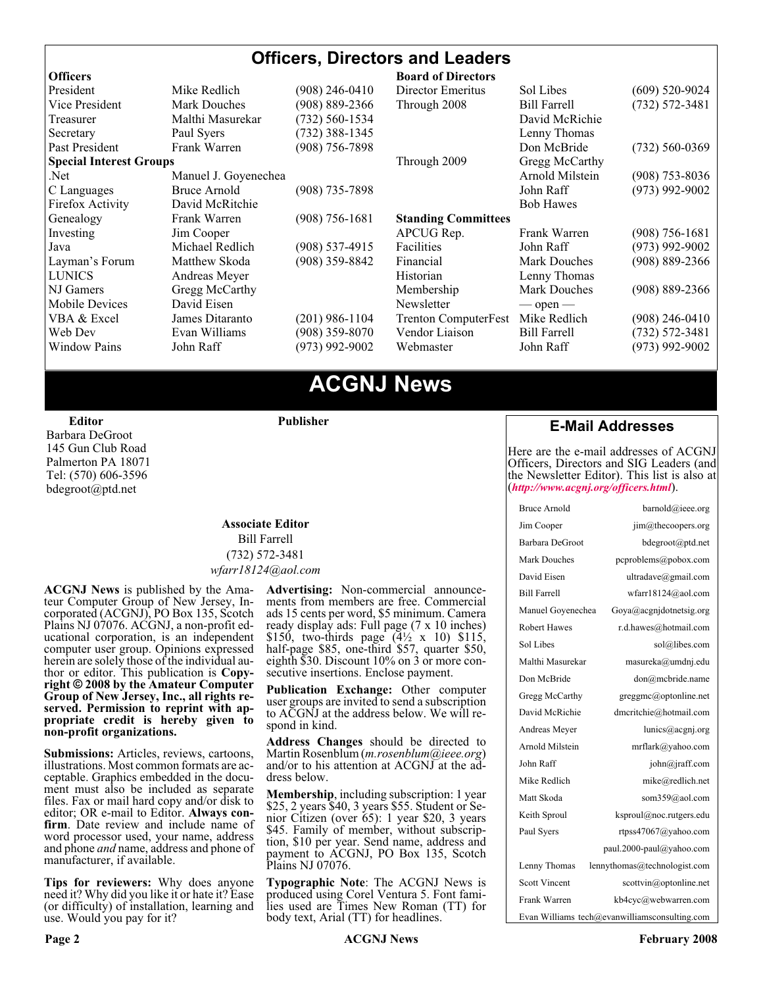#### **Officers, Directors and Leaders**

| <b>Officers</b>                |                                           |                    | <b>Board of Directors</b>   |                     |                    |
|--------------------------------|-------------------------------------------|--------------------|-----------------------------|---------------------|--------------------|
| President                      | Mike Redlich                              | (908) 246-0410     | Director Emeritus           | Sol Libes           | $(609)$ 520-9024   |
| Vice President                 | $(908) 889 - 2366$<br><b>Mark Douches</b> |                    | Through 2008                | <b>Bill Farrell</b> | $(732) 572 - 3481$ |
| Malthi Masurekar<br>Treasurer  |                                           | $(732) 560 - 1534$ |                             | David McRichie      |                    |
| Secretary                      | Paul Syers                                | $(732)$ 388-1345   |                             | Lenny Thomas        |                    |
| Past President                 | Frank Warren                              | $(908)$ 756-7898   |                             | Don McBride         | $(732) 560 - 0369$ |
| <b>Special Interest Groups</b> |                                           |                    | Through 2009                | Gregg McCarthy      |                    |
| Manuel J. Goyenechea<br>Net.   |                                           |                    |                             | Arnold Milstein     | $(908)$ 753-8036   |
| C Languages                    | Bruce Arnold                              | $(908)$ 735-7898   |                             | John Raff           | $(973)$ 992-9002   |
| Firefox Activity               | David McRitchie                           |                    |                             | <b>Bob Hawes</b>    |                    |
| Genealogy                      | Frank Warren                              | $(908) 756 - 1681$ | <b>Standing Committees</b>  |                     |                    |
| Investing                      | Jim Cooper                                |                    | APCUG Rep.                  | Frank Warren        | $(908)$ 756-1681   |
| Java                           | Michael Redlich                           | $(908)$ 537-4915   | Facilities                  | John Raff           | $(973)$ 992-9002   |
| Layman's Forum                 | Matthew Skoda                             | (908) 359-8842     | Financial                   | <b>Mark Douches</b> | $(908) 889 - 2366$ |
| <b>LUNICS</b>                  | Andreas Meyer                             |                    | Historian                   | Lenny Thomas        |                    |
| NJ Gamers                      | Gregg McCarthy                            |                    | Membership                  | Mark Douches        | $(908) 889 - 2366$ |
| Mobile Devices                 | David Eisen                               |                    | Newsletter                  | $-$ open $-$        |                    |
| VBA & Excel                    | James Ditaranto                           | $(201)$ 986-1104   | <b>Trenton ComputerFest</b> | Mike Redlich        | $(908)$ 246-0410   |
| Web Dev                        | Evan Williams                             | $(908)$ 359-8070   | Vendor Liaison              | <b>Bill Farrell</b> | $(732) 572 - 3481$ |
| <b>Window Pains</b>            | John Raff                                 | $(973)$ 992-9002   | Webmaster                   | John Raff           | $(973)$ 992-9002   |
|                                |                                           |                    |                             |                     |                    |

## **ACGNJ News**

**Publisher**

#### **Editor** Barbara DeGroot 145 Gun Club Road Palmerton PA 18071 Tel: (570) 606-3596 bdegroot@ptd.net

#### **Associate Editor** Bill Farrell (732) 572-3481 *wfarr18124@aol.com*

**ACGNJ News** is published by the Amateur Computer Group of New Jersey, Incorporated (ACGNJ), PO Box 135, Scotch Plains NJ 07076. ACGNJ, a non-profit educational corporation, is an independent computer user group. Opinions expressed<br>herein are solely those of the individual author or editor. This publication is **Copy-**<br>right © 2008 by the Amateur Computer<br>Group of New Jersey, Inc., all rights re-**Group of New Jersey, Inc., all rights re- served. Permission to reprint with ap- propriate credit is hereby given to non-profit organizations.**

**Submissions:** Articles, reviews, cartoons, illustrations. Most common formats are acceptable. Graphics embedded in the docu-<br>ment must also be included as separate files. Fax or mail hard copy and/or disk to editor: OR e-mail to Editor. **Always con**firm. Date review and include name of word processor used, your name, address and phone *and* name, address and phone of manufacturer, if available.

**Tips for reviewers:** Why does anyone need it? Why did you like it or hate it? Ease (or difficulty) of installation, learning and use. Would you pay for it?

**Advertising:** Non-commercial announce- ments from members are free. Commercial ads 15 cents per word, \$5 minimum. Camera ready display ads: Full page (7 x 10 inches) \$150, two-thirds page  $(4\frac{1}{2} \times 10)$  \$115, half-page \$85, one-third \$57, quarter \$50, eighth \$30. Discount 10% on 3 or more con- secutive insertions. Enclose payment.

**Publication Exchange:** Other computer user groups are invited to send a subscription to ACGNJ at the address below. We will re- spond in kind.

**Address Changes** should be directed to Martin Rosenblum (*m.rosenblum@ieee.org*) and/or to his attention at ACGNJ at the ad- dress below.

**Membership**, including subscription: 1 year \$25, 2 years \$40, 3 years \$55. Student or Senior Citizen (over 65): 1 year \$20, 3 years \$45. Family of member, without subscription, \$10 per year. Send name, address and payment to ACGNJ, PO Box 135, Scotch Plains NJ 07076.

**Typographic Note**: The ACGNJ News is produced using Corel Ventura 5. Font fami- lies used are Times New Roman (TT) for body text, Arial (TT) for headlines.

#### **E-Mail Addresses**

Here are the e-mail addresses of ACGNJ Officers, Directors and SIG Leaders (and the Newsletter Editor). This list is also at (*<http://www.acgnj.org/officers.html>*).

| <b>Bruce Arnold</b>                           | barnold@ieee.org             |  |  |  |
|-----------------------------------------------|------------------------------|--|--|--|
| Jim Cooper                                    | jim@thecoopers.org           |  |  |  |
| Barbara DeGroot                               | bdegroot@ptd.net             |  |  |  |
| Mark Douches                                  | pcproblems@pobox.com         |  |  |  |
| David Eisen                                   | ultradave@gmail.com          |  |  |  |
| <b>Bill Farrell</b>                           | wfarr18124@aol.com           |  |  |  |
| Manuel Govenechea                             | Goya@acgnidotnetsig.org      |  |  |  |
| <b>Robert Hawes</b>                           | r.d.hawes@hotmail.com        |  |  |  |
| Sol Libes                                     | sol@libes.com                |  |  |  |
| Malthi Masurekar                              | masureka@umdnj.edu           |  |  |  |
| Don McBride                                   | don@mcbride.name             |  |  |  |
| Gregg McCarthy                                | greggmc@optonline.net        |  |  |  |
| David McRichie                                | dmcritchie@hotmail.com       |  |  |  |
| Andreas Meyer                                 | lunics@acgnj.org             |  |  |  |
| Arnold Milstein                               | mrflark@yahoo.com            |  |  |  |
| John Raff                                     | john@jraff.com               |  |  |  |
| Mike Redlich                                  | mike@redlich.net             |  |  |  |
| Matt Skoda                                    | som359@aol.com               |  |  |  |
| Keith Sproul                                  | ksproul@noc.rutgers.edu      |  |  |  |
| Paul Syers                                    | rtpss47067@yahoo.com         |  |  |  |
|                                               | paul.2000-paul@yahoo.com     |  |  |  |
| Lenny Thomas                                  | lennythomas@technologist.com |  |  |  |
| <b>Scott Vincent</b>                          | scottvin@optonline.net       |  |  |  |
| Frank Warren                                  | kb4cyc@webwarren.com         |  |  |  |
| Evan Williams tech@evanwilliamsconsulting.com |                              |  |  |  |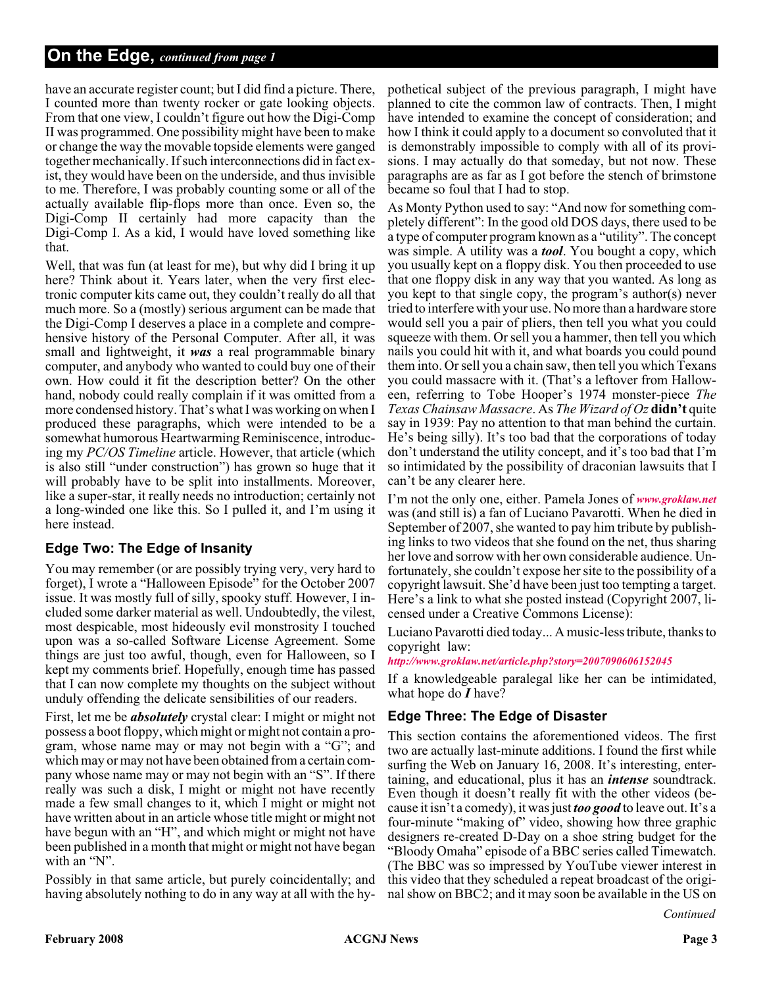#### **On the Edge,** *continued from page 1*

have an accurate register count; but I did find a picture. There, I counted more than twenty rocker or gate looking objects. From that one view, I couldn't figure out how the Digi-Comp II was programmed. One possibility might have been to make or change the way the movable topside elements were ganged together mechanically. If such interconnections did in fact exist, they would have been on the underside, and thus invisible to me. Therefore, I was probably counting some or all of the actually available flip-flops more than once. Even so, the Digi-Comp II certainly had more capacity than the Digi-Comp I. As a kid, I would have loved something like that.

Well, that was fun (at least for me), but why did I bring it up here? Think about it. Years later, when the very first electronic computer kits came out, they couldn't really do all that much more. So a (mostly) serious argument can be made that the Digi-Comp I deserves a place in a complete and comprehensive history of the Personal Computer. After all, it was small and lightweight, it *was* a real programmable binary computer, and anybody who wanted to could buy one of their own. How could it fit the description better? On the other hand, nobody could really complain if it was omitted from a more condensed history. That's what I was working on when I produced these paragraphs, which were intended to be a somewhat humorous Heartwarming Reminiscence, introducing my *PC/OS Timeline* article. However, that article (which is also still "under construction") has grown so huge that it will probably have to be split into installments. Moreover, like a super-star, it really needs no introduction; certainly not a long-winded one like this. So I pulled it, and I'm using it here instead.

#### **Edge Two: The Edge of Insanity**

You may remember (or are possibly trying very, very hard to forget), I wrote a "Halloween Episode" for the October 2007 issue. It was mostly full of silly, spooky stuff. However, I included some darker material as well. Undoubtedly, the vilest, most despicable, most hideously evil monstrosity I touched upon was a so-called Software License Agreement. Some things are just too awful, though, even for Halloween, so I kept my comments brief. Hopefully, enough time has passed that I can now complete my thoughts on the subject without unduly offending the delicate sensibilities of our readers.

First, let me be *absolutely* crystal clear: I might or might not possess a boot floppy, which might or might not contain a program, whose name may or may not begin with a "G"; and which may or may not have been obtained from a certain company whose name may or may not begin with an "S". If there really was such a disk, I might or might not have recently made a few small changes to it, which I might or might not have written about in an article whose title might or might not have begun with an "H", and which might or might not have been published in a month that might or might not have began with an "N".

Possibly in that same article, but purely coincidentally; and having absolutely nothing to do in any way at all with the hy-

pothetical subject of the previous paragraph, I might have planned to cite the common law of contracts. Then, I might have intended to examine the concept of consideration; and how I think it could apply to a document so convoluted that it is demonstrably impossible to comply with all of its provisions. I may actually do that someday, but not now. These paragraphs are as far as I got before the stench of brimstone became so foul that I had to stop.

As Monty Python used to say: "And now for something completely different": In the good old DOS days, there used to be a type of computer program known as a "utility". The concept was simple. A utility was a *tool*. You bought a copy, which you usually kept on a floppy disk. You then proceeded to use that one floppy disk in any way that you wanted. As long as you kept to that single copy, the program's author(s) never tried to interfere with your use. No more than a hardware store would sell you a pair of pliers, then tell you what you could squeeze with them. Or sell you a hammer, then tell you which nails you could hit with it, and what boards you could pound them into. Or sell you a chain saw, then tell you which Texans you could massacre with it. (That's a leftover from Halloween, referring to Tobe Hooper's 1974 monster-piece *The Texas Chainsaw Massacre*. As *The Wizard of Oz* **didn't** quite say in 1939: Pay no attention to that man behind the curtain. He's being silly). It's too bad that the corporations of today don't understand the utility concept, and it's too bad that I'm so intimidated by the possibility of draconian lawsuits that I can't be any clearer here.

I'm not the only one, either. Pamela Jones of *[www.groklaw.net](http://www.groklaw.net)* was (and still is) a fan of Luciano Pavarotti. When he died in September of 2007, she wanted to pay him tribute by publishing links to two videos that she found on the net, thus sharing her love and sorrow with her own considerable audience. Unfortunately, she couldn't expose her site to the possibility of a copyright lawsuit. She'd have been just too tempting a target. Here's a link to what she posted instead (Copyright 2007, licensed under a Creative Commons License):

Luciano Pavarotti died today... A music-less tribute, thanks to copyright law:

#### *<http://www.groklaw.net/article.php?story=2007090606152045>*

If a knowledgeable paralegal like her can be intimidated, what hope do *I* have?

#### **Edge Three: The Edge of Disaster**

This section contains the aforementioned videos. The first two are actually last-minute additions. I found the first while surfing the Web on January 16, 2008. It's interesting, entertaining, and educational, plus it has an *intense* soundtrack. Even though it doesn't really fit with the other videos (because it isn't a comedy), it was just *too good* to leave out. It's a four-minute "making of" video, showing how three graphic designers re-created D-Day on a shoe string budget for the "Bloody Omaha" episode of a BBC series called Timewatch. (The BBC was so impressed by YouTube viewer interest in this video that they scheduled a repeat broadcast of the original show on BBC2; and it may soon be available in the US on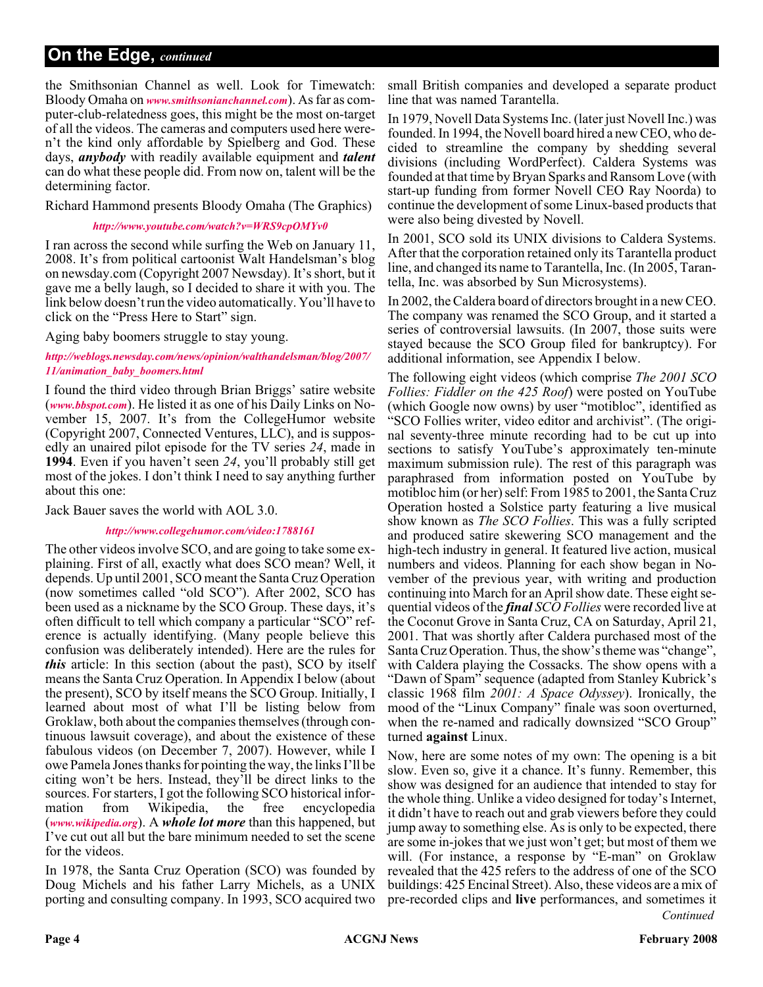the Smithsonian Channel as well. Look for Timewatch: Bloody Omaha on *[www.smithsonianchannel.com](http://www.smithsonianchannel.com)*). As far as computer-club-relatedness goes, this might be the most on-target of all the videos. The cameras and computers used here weren't the kind only affordable by Spielberg and God. These days, *anybody* with readily available equipment and *talent* can do what these people did. From now on, talent will be the determining factor.

Richard Hammond presents Bloody Omaha (The Graphics)

#### *<http://www.youtube.com/watch?v=WRS9cpOMYv0>*

I ran across the second while surfing the Web on January 11, 2008. It's from political cartoonist Walt Handelsman's blog on newsday.com (Copyright 2007 Newsday). It's short, but it gave me a belly laugh, so I decided to share it with you. The link below doesn't run the video automatically. You'll have to click on the "Press Here to Start" sign.

Aging baby boomers struggle to stay young.

#### *[http://weblogs.newsday.com/news/opinion/walthandelsman/blog/2007/](http://weblogs.newsday.com/news/opinion/walthandelsman/blog/2007/11/animation_baby_boomers.html) 11/animation\_baby\_boomers.html*

I found the third video through Brian Briggs' satire website (*[www.bbspot.com](http://www.bbspot.com)*). He listed it as one of his Daily Links on November 15, 2007. It's from the CollegeHumor website (Copyright 2007, Connected Ventures, LLC), and is supposedly an unaired pilot episode for the TV series *24*, made in **1994**. Even if you haven't seen *24*, you'll probably still get most of the jokes. I don't think I need to say anything further about this one:

Jack Bauer saves the world with AOL 3.0.

#### *<http://www.collegehumor.com/video:1788161>*

The other videos involve SCO, and are going to take some explaining. First of all, exactly what does SCO mean? Well, it depends. Up until 2001, SCO meant the Santa Cruz Operation (now sometimes called "old SCO"). After 2002, SCO has been used as a nickname by the SCO Group. These days, it's often difficult to tell which company a particular "SCO" reference is actually identifying. (Many people believe this confusion was deliberately intended). Here are the rules for *this* article: In this section (about the past), SCO by itself means the Santa Cruz Operation. In Appendix I below (about the present), SCO by itself means the SCO Group. Initially, I learned about most of what I'll be listing below from Groklaw, both about the companies themselves (through continuous lawsuit coverage), and about the existence of these fabulous videos (on December 7, 2007). However, while I owe Pamela Jones thanks for pointing the way, the links I'll be citing won't be hers. Instead, they'll be direct links to the sources. For starters, I got the following SCO historical information from Wikipedia, the free encyclopedia (*[www.wikipedia.org](http://www.wikipedia.org)*). A *whole lot more* than this happened, but I've cut out all but the bare minimum needed to set the scene for the videos.

In 1978, the Santa Cruz Operation (SCO) was founded by Doug Michels and his father Larry Michels, as a UNIX porting and consulting company. In 1993, SCO acquired two

small British companies and developed a separate product line that was named Tarantella.

In 1979, Novell Data Systems Inc. (later just Novell Inc.) was founded. In 1994, the Novell board hired a new CEO, who decided to streamline the company by shedding several divisions (including WordPerfect). Caldera Systems was founded at that time by Bryan Sparks and Ransom Love (with start-up funding from former Novell CEO Ray Noorda) to continue the development of some Linux-based products that were also being divested by Novell.

In 2001, SCO sold its UNIX divisions to Caldera Systems. After that the corporation retained only its Tarantella product line, and changed its name to Tarantella, Inc. (In 2005, Tarantella, Inc. was absorbed by Sun Microsystems).

In 2002, the Caldera board of directors brought in a new CEO. The company was renamed the SCO Group, and it started a series of controversial lawsuits. (In 2007, those suits were stayed because the SCO Group filed for bankruptcy). For additional information, see Appendix I below.

The following eight videos (which comprise *The 2001 SCO Follies: Fiddler on the 425 Roof*) were posted on YouTube (which Google now owns) by user "motibloc", identified as "SCO Follies writer, video editor and archivist". (The original seventy-three minute recording had to be cut up into sections to satisfy YouTube's approximately ten-minute maximum submission rule). The rest of this paragraph was paraphrased from information posted on YouTube by motibloc him (or her) self: From 1985 to 2001, the Santa Cruz Operation hosted a Solstice party featuring a live musical show known as *The SCO Follies*. This was a fully scripted and produced satire skewering SCO management and the high-tech industry in general. It featured live action, musical numbers and videos. Planning for each show began in November of the previous year, with writing and production continuing into March for an April show date. These eight sequential videos of the *final SCO Follies* were recorded live at the Coconut Grove in Santa Cruz, CA on Saturday, April 21, 2001. That was shortly after Caldera purchased most of the Santa Cruz Operation. Thus, the show's theme was "change", with Caldera playing the Cossacks. The show opens with a "Dawn of Spam" sequence (adapted from Stanley Kubrick's classic 1968 film *2001: A Space Odyssey*). Ironically, the mood of the "Linux Company" finale was soon overturned, when the re-named and radically downsized "SCO Group" turned **against** Linux.

*Continued* Now, here are some notes of my own: The opening is a bit slow. Even so, give it a chance. It's funny. Remember, this show was designed for an audience that intended to stay for the whole thing. Unlike a video designed for today's Internet, it didn't have to reach out and grab viewers before they could jump away to something else. As is only to be expected, there are some in-jokes that we just won't get; but most of them we will. (For instance, a response by "E-man" on Groklaw revealed that the 425 refers to the address of one of the SCO buildings: 425 Encinal Street). Also, these videos are a mix of pre-recorded clips and **live** performances, and sometimes it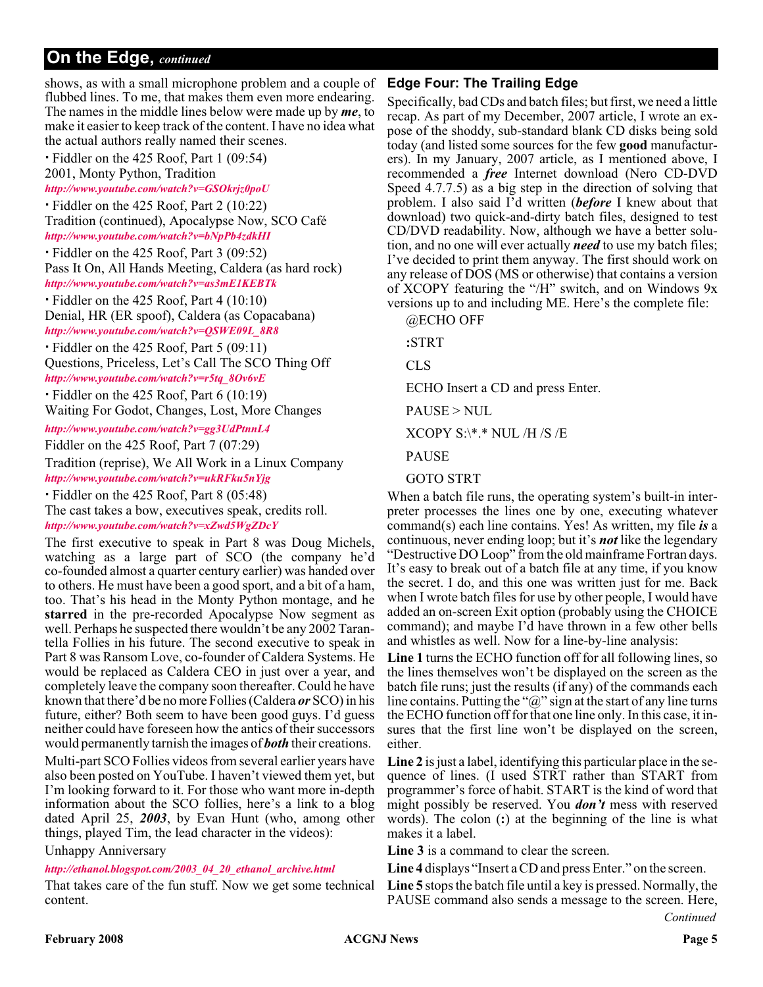shows, as with a small microphone problem and a couple of flubbed lines. To me, that makes them even more endearing. The names in the middle lines below were made up by *me*, to make it easier to keep track of the content. I have no idea what the actual authors really named their scenes.

- Fiddler on the 425 Roof, Part 1 (09:54)

2001, Monty Python, Tradition

*<http://www.youtube.com/watch?v=GSOkrjz0poU>*

- Fiddler on the 425 Roof, Part 2 (10:22) Tradition (continued), Apocalypse Now, SCO Café *<http://www.youtube.com/watch?v=bNpPb4zdkHI>*

- Fiddler on the 425 Roof, Part 3 (09:52) Pass It On, All Hands Meeting, Caldera (as hard rock) *<http://www.youtube.com/watch?v=as3mE1KEBTk>*

- Fiddler on the 425 Roof, Part 4 (10:10) Denial, HR (ER spoof), Caldera (as Copacabana)

*[http://www.youtube.com/watch?v=QSWE09L\\_8R8](http://www.youtube.com/watch?v=QSWE09L_8R8)*

- Fiddler on the 425 Roof, Part 5 (09:11) Questions, Priceless, Let's Call The SCO Thing Off *[http://www.youtube.com/watch?v=r5tq\\_8Ov6vE](http://www.youtube.com/watch?v=r5tq_8Ov6vE)*

- Fiddler on the 425 Roof, Part 6 (10:19)

Waiting For Godot, Changes, Lost, More Changes

*<http://www.youtube.com/watch?v=gg3UdPtnnL4>*

Fiddler on the 425 Roof, Part 7 (07:29)

Tradition (reprise), We All Work in a Linux Company *<http://www.youtube.com/watch?v=ukRFku5nYjg>*

- Fiddler on the 425 Roof, Part 8 (05:48)

The cast takes a bow, executives speak, credits roll. *<http://www.youtube.com/watch?v=xZwd5WgZDcY>*

The first executive to speak in Part 8 was Doug Michels, watching as a large part of SCO (the company he'd co-founded almost a quarter century earlier) was handed over to others. He must have been a good sport, and a bit of a ham, too. That's his head in the Monty Python montage, and he **starred** in the pre-recorded Apocalypse Now segment as well. Perhaps he suspected there wouldn't be any 2002 Tarantella Follies in his future. The second executive to speak in Part 8 was Ransom Love, co-founder of Caldera Systems. He would be replaced as Caldera CEO in just over a year, and completely leave the company soon thereafter. Could he have known that there'd be no more Follies (Caldera *or* SCO) in his future, either? Both seem to have been good guys. I'd guess neither could have foreseen how the antics of their successors would permanently tarnish the images of *both* their creations.

Multi-part SCO Follies videos from several earlier years have also been posted on YouTube. I haven't viewed them yet, but I'm looking forward to it. For those who want more in-depth information about the SCO follies, here's a link to a blog dated April 25, *2003*, by Evan Hunt (who, among other things, played Tim, the lead character in the videos):

Unhappy Anniversary

#### *[http://ethanol.blogspot.com/2003\\_04\\_20\\_ethanol\\_archive.html](http://ethanol.blogspot.com/2003_04_20_ethanol_archive.html)*

That takes care of the fun stuff. Now we get some technical content.

#### **Edge Four: The Trailing Edge**

Specifically, bad CDs and batch files; but first, we need a little recap. As part of my December, 2007 article, I wrote an expose of the shoddy, sub-standard blank CD disks being sold today (and listed some sources for the few **good** manufacturers). In my January, 2007 article, as I mentioned above, I recommended a *free* Internet download (Nero CD-DVD Speed 4.7.7.5) as a big step in the direction of solving that problem. I also said I'd written (*before* I knew about that download) two quick-and-dirty batch files, designed to test CD/DVD readability. Now, although we have a better solution, and no one will ever actually *need* to use my batch files; I've decided to print them anyway. The first should work on any release of DOS (MS or otherwise) that contains a version of XCOPY featuring the "/H" switch, and on Windows 9x versions up to and including ME. Here's the complete file:

@ECHO OFF

**:**STRT

CLS

ECHO Insert a CD and press Enter.

PAUSE > NUL

XCOPY S:\\*.\* NUL /H /S /E

PAUSE

#### GOTO STRT

When a batch file runs, the operating system's built-in interpreter processes the lines one by one, executing whatever command(s) each line contains. Yes! As written, my file *is* a continuous, never ending loop; but it's *not* like the legendary "Destructive DO Loop" from the old mainframe Fortran days. It's easy to break out of a batch file at any time, if you know the secret. I do, and this one was written just for me. Back when I wrote batch files for use by other people, I would have added an on-screen Exit option (probably using the CHOICE command); and maybe I'd have thrown in a few other bells and whistles as well. Now for a line-by-line analysis:

**Line 1** turns the ECHO function off for all following lines, so the lines themselves won't be displayed on the screen as the batch file runs; just the results (if any) of the commands each line contains. Putting the " $\omega$ " sign at the start of any line turns the ECHO function off for that one line only. In this case, it insures that the first line won't be displayed on the screen, either.

**Line 2** is just a label, identifying this particular place in the sequence of lines. (I used STRT rather than START from programmer's force of habit. START is the kind of word that might possibly be reserved. You *don't* mess with reserved words). The colon (**:**) at the beginning of the line is what makes it a label.

**Line 3** is a command to clear the screen.

**Line 4** displays "Insert a CD and press Enter." on the screen.

*Continued* **Line 5** stops the batch file until a key is pressed. Normally, the PAUSE command also sends a message to the screen. Here,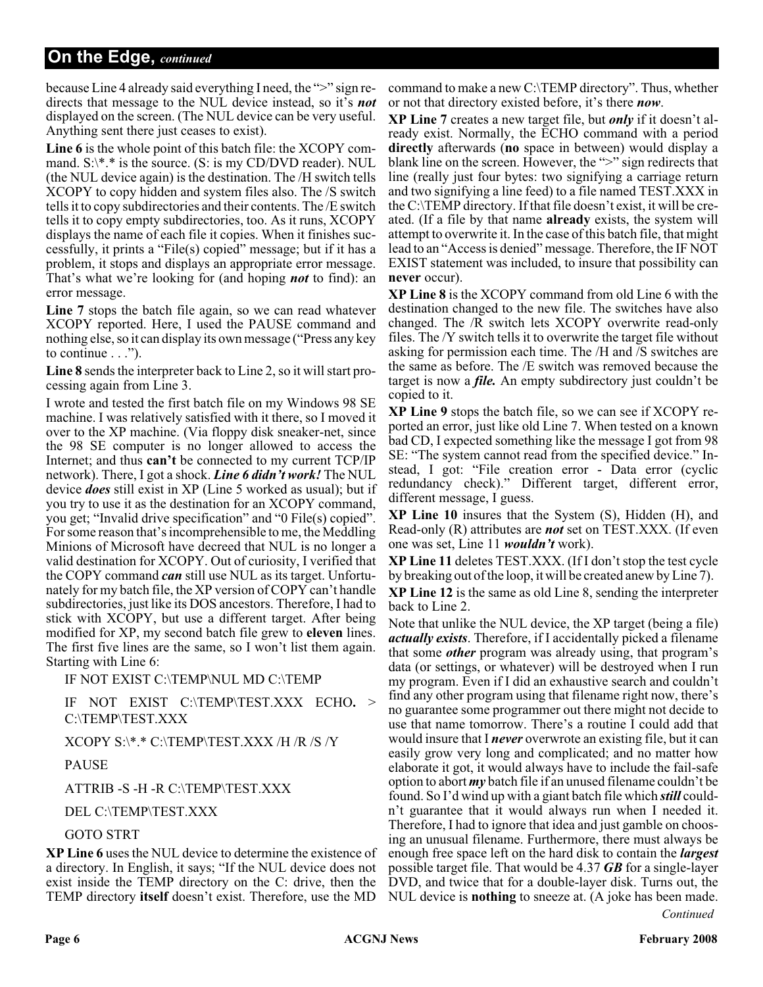because Line 4 already said everything I need, the ">" sign redirects that message to the NUL device instead, so it's *not* displayed on the screen. (The NUL device can be very useful. Anything sent there just ceases to exist).

**Line 6** is the whole point of this batch file: the XCOPY command. S:\\*.\* is the source. (S: is my CD/DVD reader). NUL (the NUL device again) is the destination. The /H switch tells XCOPY to copy hidden and system files also. The /S switch tells it to copy subdirectories and their contents. The /E switch tells it to copy empty subdirectories, too. As it runs, XCOPY displays the name of each file it copies. When it finishes successfully, it prints a "File(s) copied" message; but if it has a problem, it stops and displays an appropriate error message. That's what we're looking for (and hoping *not* to find): an error message.

**Line 7** stops the batch file again, so we can read whatever XCOPY reported. Here, I used the PAUSE command and nothing else, so it can display its own message ("Press any key to continue . . .").

**Line 8** sends the interpreter back to Line 2, so it will start processing again from Line 3.

I wrote and tested the first batch file on my Windows 98 SE machine. I was relatively satisfied with it there, so I moved it over to the XP machine. (Via floppy disk sneaker-net, since the 98 SE computer is no longer allowed to access the Internet; and thus **can't** be connected to my current TCP/IP network). There, I got a shock. *Line 6 didn't work!* The NUL device *does* still exist in XP (Line 5 worked as usual); but if you try to use it as the destination for an XCOPY command, you get; "Invalid drive specification" and "0 File(s) copied". For some reason that's incomprehensible to me, the Meddling Minions of Microsoft have decreed that NUL is no longer a valid destination for XCOPY. Out of curiosity, I verified that the COPY command *can* still use NUL as its target. Unfortunately for my batch file, the XP version of COPY can't handle subdirectories, just like its DOS ancestors. Therefore, I had to stick with XCOPY, but use a different target. After being modified for XP, my second batch file grew to **eleven** lines. The first five lines are the same, so I won't list them again. Starting with Line 6:

IF NOT EXIST C:\TEMP\NUL MD C:\TEMP

IF NOT EXIST C:\TEMP\TEST.XXX ECHO**.** > C:\TEMP\TEST.XXX

#### XCOPY S:\\*.\* C:\TEMP\TEST.XXX /H /R /S /Y

#### PAUSE

ATTRIB -S -H -R C:\TEMP\TEST.XXX

#### DEL C:\TEMP\TEST.XXX

#### GOTO STRT

**XP Line 6** uses the NUL device to determine the existence of a directory. In English, it says; "If the NUL device does not exist inside the TEMP directory on the C: drive, then the TEMP directory **itself** doesn't exist. Therefore, use the MD

command to make a new C:\TEMP directory". Thus, whether or not that directory existed before, it's there *now*.

**XP Line 7** creates a new target file, but *only* if it doesn't already exist. Normally, the ECHO command with a period **directly** afterwards (**no** space in between) would display a blank line on the screen. However, the ">" sign redirects that line (really just four bytes: two signifying a carriage return and two signifying a line feed) to a file named TEST.XXX in the C:\TEMP directory. If that file doesn't exist, it will be created. (If a file by that name **already** exists, the system will attempt to overwrite it. In the case of this batch file, that might lead to an "Access is denied" message. Therefore, the IF NOT EXIST statement was included, to insure that possibility can **never** occur).

**XP Line 8** is the XCOPY command from old Line 6 with the destination changed to the new file. The switches have also changed. The /R switch lets XCOPY overwrite read-only files. The /Y switch tells it to overwrite the target file without asking for permission each time. The /H and /S switches are the same as before. The /E switch was removed because the target is now a *file.* An empty subdirectory just couldn't be copied to it.

**XP Line 9** stops the batch file, so we can see if XCOPY reported an error, just like old Line 7. When tested on a known bad CD, I expected something like the message I got from 98 SE: "The system cannot read from the specified device." Instead, I got: "File creation error - Data error (cyclic redundancy check)." Different target, different error, different message, I guess.

**XP Line 10** insures that the System (S), Hidden (H), and Read-only (R) attributes are *not* set on TEST.XXX. (If even one was set, Line 11 *wouldn't* work).

**XP Line 11** deletes TEST.XXX. (If I don't stop the test cycle by breaking out of the loop, it will be created anew by Line 7).

**XP Line 12** is the same as old Line 8, sending the interpreter back to Line 2.

Note that unlike the NUL device, the XP target (being a file) *actually exists*. Therefore, if I accidentally picked a filename that some *other* program was already using, that program's data (or settings, or whatever) will be destroyed when I run my program. Even if I did an exhaustive search and couldn't find any other program using that filename right now, there's no guarantee some programmer out there might not decide to use that name tomorrow. There's a routine I could add that would insure that I *never* overwrote an existing file, but it can easily grow very long and complicated; and no matter how elaborate it got, it would always have to include the fail-safe option to abort *my* batch file if an unused filename couldn't be found. So I'd wind up with a giant batch file which *still* couldn't guarantee that it would always run when I needed it. Therefore, I had to ignore that idea and just gamble on choosing an unusual filename. Furthermore, there must always be enough free space left on the hard disk to contain the *largest* possible target file. That would be 4.37 *GB* for a single-layer DVD, and twice that for a double-layer disk. Turns out, the NUL device is **nothing** to sneeze at. (A joke has been made.

*Continued*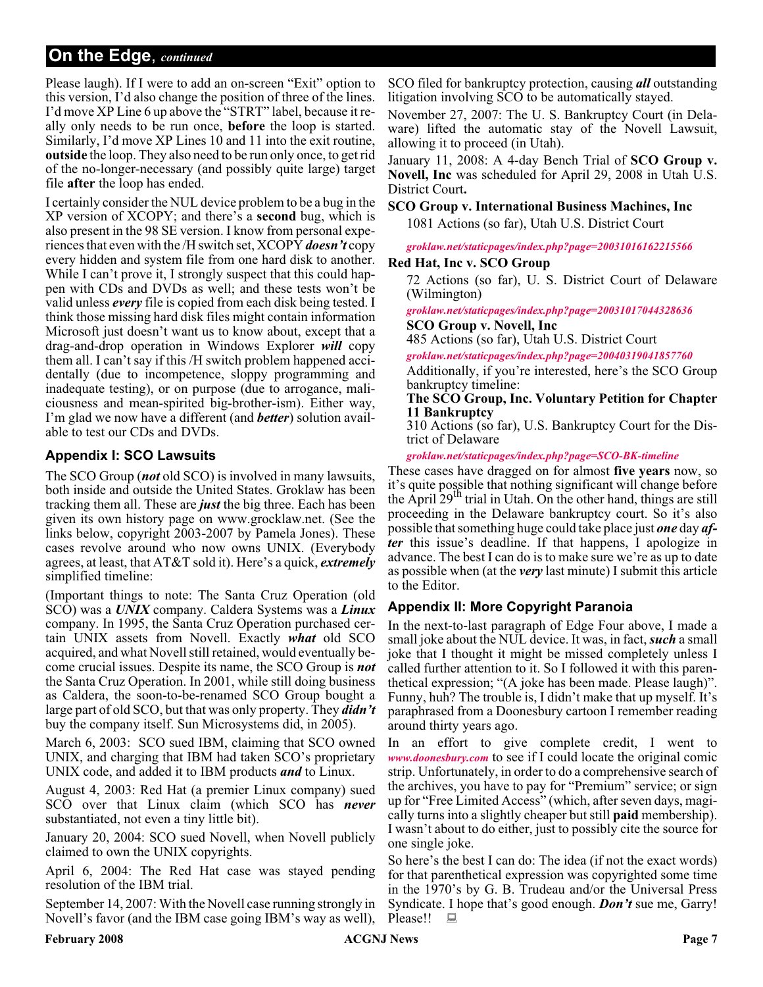Please laugh). If I were to add an on-screen "Exit" option to this version, I'd also change the position of three of the lines. I'd move XP Line 6 up above the "STRT" label, because it really only needs to be run once, **before** the loop is started. Similarly, I'd move XP Lines 10 and 11 into the exit routine, **outside** the loop. They also need to be run only once, to get rid of the no-longer-necessary (and possibly quite large) target file **after** the loop has ended.

I certainly consider the NUL device problem to be a bug in the XP version of XCOPY; and there's a **second** bug, which is also present in the 98 SE version. I know from personal experiences that even with the /H switch set, XCOPY *doesn't* copy every hidden and system file from one hard disk to another. While I can't prove it, I strongly suspect that this could happen with CDs and DVDs as well; and these tests won't be valid unless *every* file is copied from each disk being tested. I think those missing hard disk files might contain information Microsoft just doesn't want us to know about, except that a drag-and-drop operation in Windows Explorer *will* copy them all. I can't say if this /H switch problem happened accidentally (due to incompetence, sloppy programming and inadequate testing), or on purpose (due to arrogance, maliciousness and mean-spirited big-brother-ism). Either way, I'm glad we now have a different (and *better*) solution available to test our CDs and DVDs.

#### **Appendix I: SCO Lawsuits**

The SCO Group (*not* old SCO) is involved in many lawsuits, both inside and outside the United States. Groklaw has been tracking them all. These are *just* the big three. Each has been given its own history page on www.grocklaw.net. (See the links below, copyright 2003-2007 by Pamela Jones). These cases revolve around who now owns UNIX. (Everybody agrees, at least, that AT&T sold it). Here's a quick, *extremely* simplified timeline:

(Important things to note: The Santa Cruz Operation (old SCO) was a *UNIX* company. Caldera Systems was a *Linux* company. In 1995, the Santa Cruz Operation purchased certain UNIX assets from Novell. Exactly *what* old SCO acquired, and what Novell still retained, would eventually become crucial issues. Despite its name, the SCO Group is *not* the Santa Cruz Operation. In 2001, while still doing business as Caldera, the soon-to-be-renamed SCO Group bought a large part of old SCO, but that was only property. They *didn't* buy the company itself. Sun Microsystems did, in 2005).

March 6, 2003: SCO sued IBM, claiming that SCO owned UNIX, and charging that IBM had taken SCO's proprietary UNIX code, and added it to IBM products *and* to Linux.

August 4, 2003: Red Hat (a premier Linux company) sued SCO over that Linux claim (which SCO has *never* substantiated, not even a tiny little bit).

January 20, 2004: SCO sued Novell, when Novell publicly claimed to own the UNIX copyrights.

April 6, 2004: The Red Hat case was stayed pending resolution of the IBM trial.

September 14, 2007: With the Novell case running strongly in Novell's favor (and the IBM case going IBM's way as well),

SCO filed for bankruptcy protection, causing *all* outstanding litigation involving SCO to be automatically stayed.

November 27, 2007: The U. S. Bankruptcy Court (in Delaware) lifted the automatic stay of the Novell Lawsuit, allowing it to proceed (in Utah).

January 11, 2008: A 4-day Bench Trial of **SCO Group v. Novell, Inc** was scheduled for April 29, 2008 in Utah U.S. District Court**.**

**SCO Group v. International Business Machines, Inc** 1081 Actions (so far), Utah U.S. District Court

*[groklaw.net/staticpages/index.php?page=20031016162215566](http://www.groklaw.net/staticpages/index.php?page=20031016162215566)*

#### **Red Hat, Inc v. SCO Group**

72 Actions (so far), U. S. District Court of Delaware (Wilmington)

*[groklaw.net/staticpages/index.php?page=20031017044328636](http://www.groklaw.net/staticpages/index.php?page=20031017044328636)* **SCO Group v. Novell, Inc**

485 Actions (so far), Utah U.S. District Court

*[groklaw.net/staticpages/index.php?page=20040319041857760](http://www.groklaw.net/staticpages/index.php?page=20040319041857760)*

Additionally, if you're interested, here's the SCO Group bankruptcy timeline:

**The SCO Group, Inc. Voluntary Petition for Chapter 11 Bankruptcy**

310 Actions (so far), U.S. Bankruptcy Court for the District of Delaware

*[groklaw.net/staticpages/index.php?page=SCO-BK-timeline](http://www.groklaw.net/staticpages/index.php?page=SCO-BK-timeline)*

These cases have dragged on for almost **five years** now, so it's quite possible that nothing significant will change before the April  $29<sup>th</sup>$  trial in Utah. On the other hand, things are still proceeding in the Delaware bankruptcy court. So it's also possible that something huge could take place just *one* day *after* this issue's deadline. If that happens, I apologize in advance. The best I can do is to make sure we're as up to date as possible when (at the *very* last minute) I submit this article to the Editor.

#### **Appendix II: More Copyright Paranoia**

In the next-to-last paragraph of Edge Four above, I made a small joke about the NUL device. It was, in fact,*such* a small joke that I thought it might be missed completely unless I called further attention to it. So I followed it with this parenthetical expression; "(A joke has been made. Please laugh)". Funny, huh? The trouble is, I didn't make that up myself. It's paraphrased from a Doonesbury cartoon I remember reading around thirty years ago.

In an effort to give complete credit, I went to *[www.doonesbury.com](http://www.doonesbury.com)* to see if I could locate the original comic strip. Unfortunately, in order to do a comprehensive search of the archives, you have to pay for "Premium" service; or sign up for "Free Limited Access" (which, after seven days, magically turns into a slightly cheaper but still **paid** membership). I wasn't about to do either, just to possibly cite the source for one single joke.

So here's the best I can do: The idea (if not the exact words) for that parenthetical expression was copyrighted some time in the 1970's by G. B. Trudeau and/or the Universal Press Syndicate. I hope that's good enough. *Don't* sue me, Garry! Please!!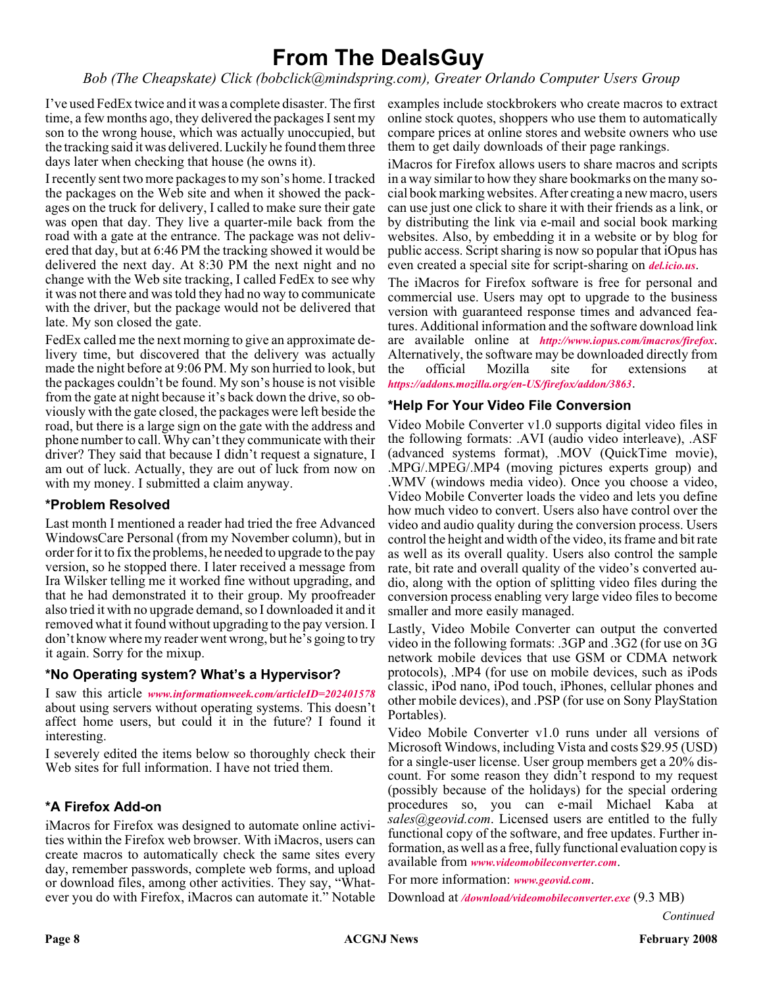## **From The DealsGuy**

*Bob (The Cheapskate) Click (bobclick@mindspring.com), Greater Orlando Computer Users Group*

I've used FedEx twice and it was a complete disaster. The first examples include stockbrokers who create macros to extract time, a few months ago, they delivered the packages I sent my son to the wrong house, which was actually unoccupied, but the tracking said it was delivered. Luckily he found them three days later when checking that house (he owns it).

I recently sent two more packages to my son's home. I tracked the packages on the Web site and when it showed the packages on the truck for delivery, I called to make sure their gate was open that day. They live a quarter-mile back from the road with a gate at the entrance. The package was not delivered that day, but at 6:46 PM the tracking showed it would be delivered the next day. At 8:30 PM the next night and no change with the Web site tracking, I called FedEx to see why it was not there and was told they had no way to communicate with the driver, but the package would not be delivered that late. My son closed the gate.

FedEx called me the next morning to give an approximate delivery time, but discovered that the delivery was actually made the night before at 9:06 PM. My son hurried to look, but the packages couldn't be found. My son's house is not visible from the gate at night because it's back down the drive, so obviously with the gate closed, the packages were left beside the road, but there is a large sign on the gate with the address and phone number to call. Why can't they communicate with their driver? They said that because I didn't request a signature, I am out of luck. Actually, they are out of luck from now on with my money. I submitted a claim anyway.

#### **\*Problem Resolved**

Last month I mentioned a reader had tried the free Advanced WindowsCare Personal (from my November column), but in order for it to fix the problems, he needed to upgrade to the pay version, so he stopped there. I later received a message from Ira Wilsker telling me it worked fine without upgrading, and that he had demonstrated it to their group. My proofreader also tried it with no upgrade demand, so I downloaded it and it removed what it found without upgrading to the pay version. I don't know where my reader went wrong, but he's going to try it again. Sorry for the mixup.

#### **\*No Operating system? What's a Hypervisor?**

I saw this article *[www.informationweek.com/articleID=202401578](http://www.informationweek.com/news/showArticle.jhtml?articleID=202401578)* about using servers without operating systems. This doesn't affect home users, but could it in the future? I found it interesting.

I severely edited the items below so thoroughly check their Web sites for full information. I have not tried them.

#### **\*A Firefox Add-on**

iMacros for Firefox was designed to automate online activities within the Firefox web browser. With iMacros, users can create macros to automatically check the same sites every day, remember passwords, complete web forms, and upload or download files, among other activities. They say, "Whatever you do with Firefox, iMacros can automate it." Notable

online stock quotes, shoppers who use them to automatically compare prices at online stores and website owners who use them to get daily downloads of their page rankings.

iMacros for Firefox allows users to share macros and scripts in a way similar to how they share bookmarks on the many social book marking websites. After creating a new macro, users can use just one click to share it with their friends as a link, or by distributing the link via e-mail and social book marking websites. Also, by embedding it in a website or by blog for public access. Script sharing is now so popular that iOpus has even created a special site for script-sharing on *<del.icio.us>*.

The iMacros for Firefox software is free for personal and commercial use. Users may opt to upgrade to the business version with guaranteed response times and advanced features. Additional information and the software download link are available online at *<http://www.iopus.com/imacros/firefox>*. Alternatively, the software may be downloaded directly from the official Mozilla site for extensions at *<https://addons.mozilla.org/en-US/firefox/addon/3863>*.

#### **\*Help For Your Video File Conversion**

Video Mobile Converter v1.0 supports digital video files in the following formats: .AVI (audio video interleave), .ASF (advanced systems format), .MOV (QuickTime movie), .MPG/.MPEG/.MP4 (moving pictures experts group) and .WMV (windows media video). Once you choose a video, Video Mobile Converter loads the video and lets you define how much video to convert. Users also have control over the video and audio quality during the conversion process. Users control the height and width of the video, its frame and bit rate as well as its overall quality. Users also control the sample rate, bit rate and overall quality of the video's converted audio, along with the option of splitting video files during the conversion process enabling very large video files to become smaller and more easily managed.

Lastly, Video Mobile Converter can output the converted video in the following formats: .3GP and .3G2 (for use on 3G network mobile devices that use GSM or CDMA network protocols), .MP4 (for use on mobile devices, such as iPods classic, iPod nano, iPod touch, iPhones, cellular phones and other mobile devices), and .PSP (for use on Sony PlayStation Portables).

Video Mobile Converter v1.0 runs under all versions of Microsoft Windows, including Vista and costs \$29.95 (USD) for a single-user license. User group members get a 20% discount. For some reason they didn't respond to my request (possibly because of the holidays) for the special ordering procedures so, you can e-mail Michael Kaba at *sales@geovid.com*. Licensed users are entitled to the fully functional copy of the software, and free updates. Further information, as well as a free, fully functional evaluation copy is available from *[www.videomobileconverter.com](http://www.videomobileconverter.com)*.

For more information: *[www.geovid.com](http://www.geovid.com)*.

Download at *[/download/videomobileconverter.exe](http://www.videomobileconverter.com/download/videomobileconverter.exe)* (9.3 MB)

*Continued*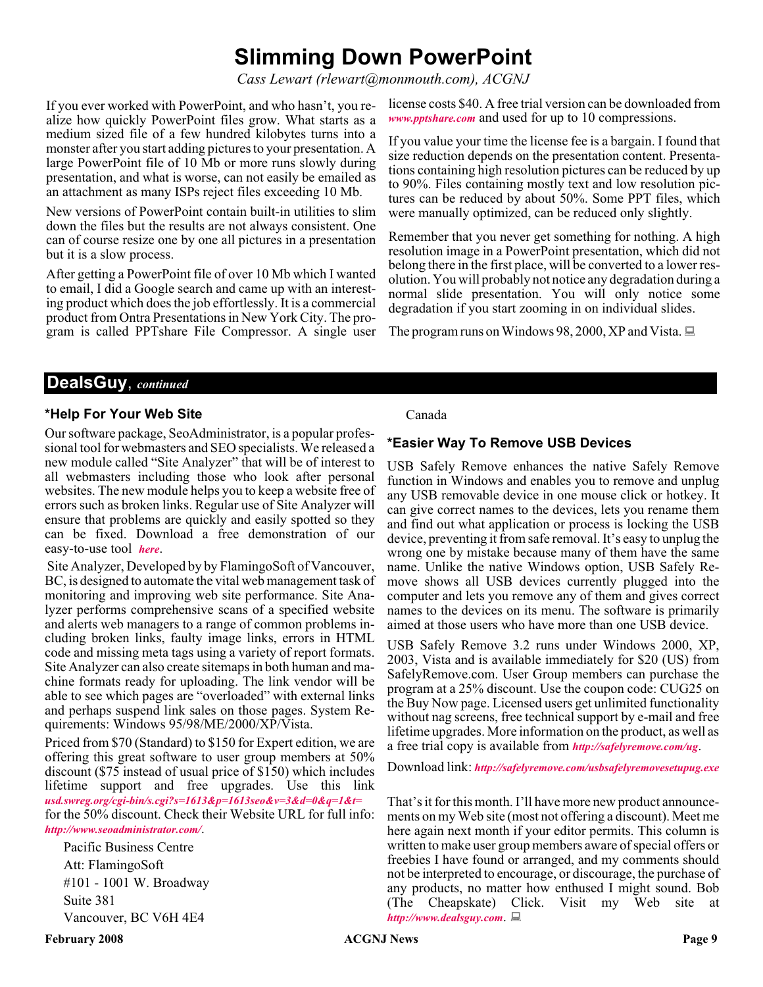## **Slimming Down PowerPoint**

*Cass Lewart (rlewart@monmouth.com), ACGNJ*

If you ever worked with PowerPoint, and who hasn't, you realize how quickly PowerPoint files grow. What starts as a medium sized file of a few hundred kilobytes turns into a monster after you start adding pictures to your presentation. A large PowerPoint file of 10 Mb or more runs slowly during presentation, and what is worse, can not easily be emailed as an attachment as many ISPs reject files exceeding 10 Mb.

New versions of PowerPoint contain built-in utilities to slim down the files but the results are not always consistent. One can of course resize one by one all pictures in a presentation but it is a slow process.

After getting a PowerPoint file of over 10 Mb which I wanted to email, I did a Google search and came up with an interesting product which does the job effortlessly. It is a commercial product from Ontra Presentations in New York City. The program is called PPTshare File Compressor. A single user license costs \$40. A free trial version can be downloaded from *[www.pptshare.com](http://www.pptshare.com)* and used for up to 10 compressions.

If you value your time the license fee is a bargain. I found that size reduction depends on the presentation content. Presentations containing high resolution pictures can be reduced by up to 90%. Files containing mostly text and low resolution pictures can be reduced by about 50%. Some PPT files, which were manually optimized, can be reduced only slightly.

Remember that you never get something for nothing. A high resolution image in a PowerPoint presentation, which did not belong there in the first place, will be converted to a lower resolution. You will probably not notice any degradation during a normal slide presentation. You will only notice some degradation if you start zooming in on individual slides.

The program runs on Windows 98, 2000, XP and Vista.  $\Box$ 

#### **DealsGuy**, *continued*

#### **\*Help For Your Web Site**

Our software package, SeoAdministrator, is a popular professional tool for webmasters and SEO specialists. We released a new module called "Site Analyzer" that will be of interest to all webmasters including those who look after personal websites. The new module helps you to keep a website free of errors such as broken links. Regular use of Site Analyzer will ensure that problems are quickly and easily spotted so they can be fixed. Download a free demonstration of our easy-to-use tool *[here](http://www.seoadministrator.com/seoadministrator.exe)*.

Site Analyzer, Developed by by FlamingoSoft of Vancouver, BC, is designed to automate the vital web management task of monitoring and improving web site performance. Site Analyzer performs comprehensive scans of a specified website and alerts web managers to a range of common problems including broken links, faulty image links, errors in HTML code and missing meta tags using a variety of report formats. Site Analyzer can also create sitemaps in both human and machine formats ready for uploading. The link vendor will be able to see which pages are "overloaded" with external links and perhaps suspend link sales on those pages. System Requirements: Windows 95/98/ME/2000/XP/Vista.

Priced from \$70 (Standard) to \$150 for Expert edition, we are offering this great software to user group members at 50% discount (\$75 instead of usual price of \$150) which includes lifetime support and free upgrades. Use this link *[usd.swreg.org/cgi-bin/s.cgi?s=1613&p=1613seo&v=3&d=0&q=1&t=](http://)* for the 50% discount. Check their Website URL for full info:

*<http://www.seoadministrator.com/>*.

Pacific Business Centre Att: FlamingoSoft #101 - 1001 W. Broadway Suite 381 Vancouver, BC V6H 4E4

#### Canada

#### **\*Easier Way To Remove USB Devices**

USB Safely Remove enhances the native Safely Remove function in Windows and enables you to remove and unplug any USB removable device in one mouse click or hotkey. It can give correct names to the devices, lets you rename them and find out what application or process is locking the USB device, preventing it from safe removal. It's easy to unplug the wrong one by mistake because many of them have the same name. Unlike the native Windows option, USB Safely Remove shows all USB devices currently plugged into the computer and lets you remove any of them and gives correct names to the devices on its menu. The software is primarily aimed at those users who have more than one USB device.

USB Safely Remove 3.2 runs under Windows 2000, XP, 2003, Vista and is available immediately for \$20 (US) from SafelyRemove.com. User Group members can purchase the program at a 25% discount. Use the coupon code: CUG25 on the Buy Now page. Licensed users get unlimited functionality without nag screens, free technical support by e-mail and free lifetime upgrades. More information on the product, as well as a free trial copy is available from *<http://safelyremove.com/ug>*.

Download link: *<http://safelyremove.com/usbsafelyremovesetupug.exe>*

That's it for this month. I'll have more new product announcements on my Web site (most not offering a discount). Meet me here again next month if your editor permits. This column is written to make user group members aware of special offers or freebies I have found or arranged, and my comments should not be interpreted to encourage, or discourage, the purchase of any products, no matter how enthused I might sound. Bob (The Cheapskate) Click. Visit my Web site at *<http://www.dealsguy.com>*.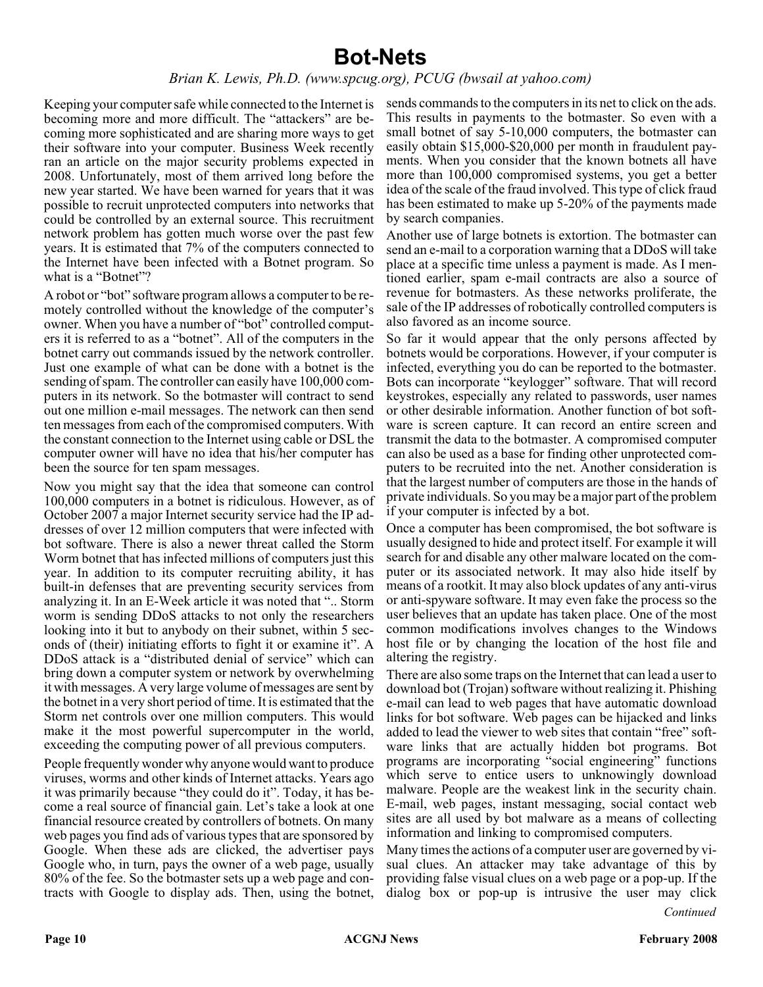## **Bot-Nets**

#### *Brian K. Lewis, Ph.D. (www.spcug.org), PCUG (bwsail at yahoo.com)*

Keeping your computer safe while connected to the Internet is becoming more and more difficult. The "attackers" are becoming more sophisticated and are sharing more ways to get their software into your computer. Business Week recently ran an article on the major security problems expected in 2008. Unfortunately, most of them arrived long before the new year started. We have been warned for years that it was possible to recruit unprotected computers into networks that could be controlled by an external source. This recruitment network problem has gotten much worse over the past few years. It is estimated that 7% of the computers connected to the Internet have been infected with a Botnet program. So what is a "Botnet"?

A robot or "bot" software program allows a computer to be remotely controlled without the knowledge of the computer's owner. When you have a number of "bot" controlled computers it is referred to as a "botnet". All of the computers in the botnet carry out commands issued by the network controller. Just one example of what can be done with a botnet is the sending of spam. The controller can easily have 100,000 computers in its network. So the botmaster will contract to send out one million e-mail messages. The network can then send ten messages from each of the compromised computers. With the constant connection to the Internet using cable or DSL the computer owner will have no idea that his/her computer has been the source for ten spam messages.

Now you might say that the idea that someone can control 100,000 computers in a botnet is ridiculous. However, as of October 2007 a major Internet security service had the IP addresses of over 12 million computers that were infected with bot software. There is also a newer threat called the Storm Worm botnet that has infected millions of computers just this year. In addition to its computer recruiting ability, it has built-in defenses that are preventing security services from analyzing it. In an E-Week article it was noted that ".. Storm worm is sending DDoS attacks to not only the researchers looking into it but to anybody on their subnet, within 5 seconds of (their) initiating efforts to fight it or examine it". A DDoS attack is a "distributed denial of service" which can bring down a computer system or network by overwhelming it with messages. A very large volume of messages are sent by the botnet in a very short period of time. It is estimated that the Storm net controls over one million computers. This would make it the most powerful supercomputer in the world, exceeding the computing power of all previous computers.

People frequently wonder why anyone would want to produce viruses, worms and other kinds of Internet attacks. Years ago it was primarily because "they could do it". Today, it has become a real source of financial gain. Let's take a look at one financial resource created by controllers of botnets. On many web pages you find ads of various types that are sponsored by Google. When these ads are clicked, the advertiser pays Google who, in turn, pays the owner of a web page, usually 80% of the fee. So the botmaster sets up a web page and contracts with Google to display ads. Then, using the botnet,

sends commands to the computers in its net to click on the ads. This results in payments to the botmaster. So even with a small botnet of say 5-10,000 computers, the botmaster can easily obtain \$15,000-\$20,000 per month in fraudulent payments. When you consider that the known botnets all have more than 100,000 compromised systems, you get a better idea of the scale of the fraud involved. This type of click fraud has been estimated to make up 5-20% of the payments made by search companies.

Another use of large botnets is extortion. The botmaster can send an e-mail to a corporation warning that a DDoS will take place at a specific time unless a payment is made. As I mentioned earlier, spam e-mail contracts are also a source of revenue for botmasters. As these networks proliferate, the sale of the IP addresses of robotically controlled computers is also favored as an income source.

So far it would appear that the only persons affected by botnets would be corporations. However, if your computer is infected, everything you do can be reported to the botmaster. Bots can incorporate "keylogger" software. That will record keystrokes, especially any related to passwords, user names or other desirable information. Another function of bot software is screen capture. It can record an entire screen and transmit the data to the botmaster. A compromised computer can also be used as a base for finding other unprotected computers to be recruited into the net. Another consideration is that the largest number of computers are those in the hands of private individuals. So you may be a major part of the problem if your computer is infected by a bot.

Once a computer has been compromised, the bot software is usually designed to hide and protect itself. For example it will search for and disable any other malware located on the computer or its associated network. It may also hide itself by means of a rootkit. It may also block updates of any anti-virus or anti-spyware software. It may even fake the process so the user believes that an update has taken place. One of the most common modifications involves changes to the Windows host file or by changing the location of the host file and altering the registry.

There are also some traps on the Internet that can lead a user to download bot (Trojan) software without realizing it. Phishing e-mail can lead to web pages that have automatic download links for bot software. Web pages can be hijacked and links added to lead the viewer to web sites that contain "free" software links that are actually hidden bot programs. Bot programs are incorporating "social engineering" functions which serve to entice users to unknowingly download malware. People are the weakest link in the security chain. E-mail, web pages, instant messaging, social contact web sites are all used by bot malware as a means of collecting information and linking to compromised computers.

Many times the actions of a computer user are governed by visual clues. An attacker may take advantage of this by providing false visual clues on a web page or a pop-up. If the dialog box or pop-up is intrusive the user may click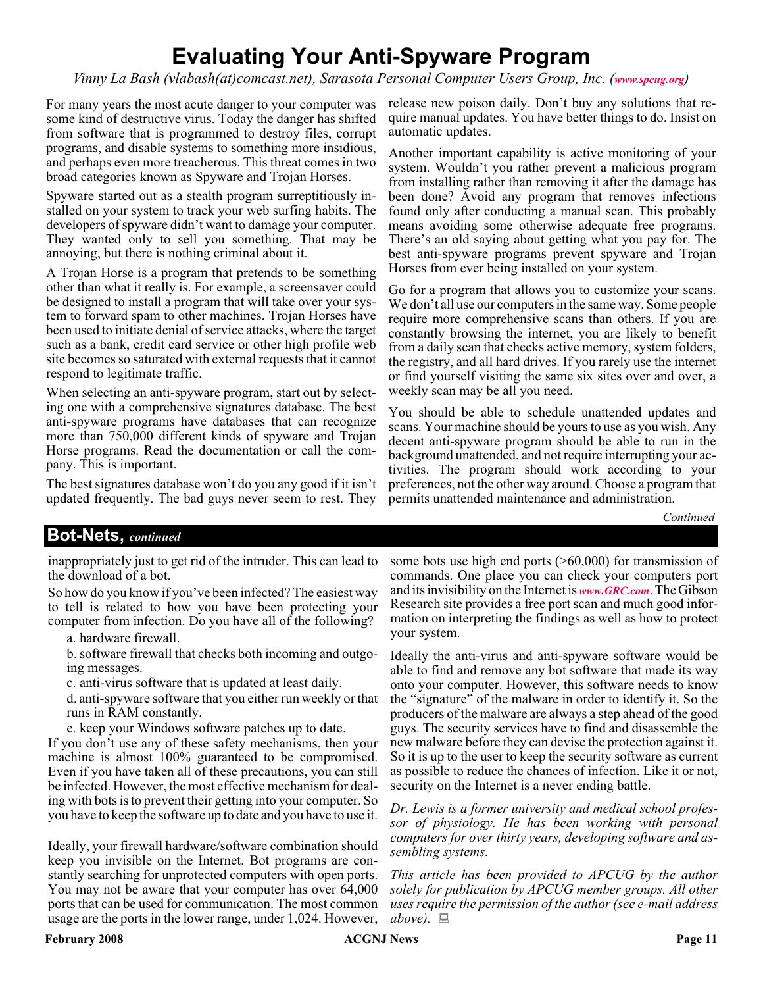## **Evaluating Your Anti-Spyware Program**

*Vinny La Bash (vlabash(at)comcast.net), Sarasota Personal Computer Users Group, Inc. ([www.spcug.org](http://www.spcug.org))*

For many years the most acute danger to your computer was some kind of destructive virus. Today the danger has shifted from software that is programmed to destroy files, corrupt programs, and disable systems to something more insidious, and perhaps even more treacherous. This threat comes in two broad categories known as Spyware and Trojan Horses.

Spyware started out as a stealth program surreptitiously installed on your system to track your web surfing habits. The developers of spyware didn't want to damage your computer. They wanted only to sell you something. That may be annoying, but there is nothing criminal about it.

A Trojan Horse is a program that pretends to be something other than what it really is. For example, a screensaver could be designed to install a program that will take over your system to forward spam to other machines. Trojan Horses have been used to initiate denial of service attacks, where the target such as a bank, credit card service or other high profile web site becomes so saturated with external requests that it cannot respond to legitimate traffic.

When selecting an anti-spyware program, start out by selecting one with a comprehensive signatures database. The best anti-spyware programs have databases that can recognize more than 750,000 different kinds of spyware and Trojan Horse programs. Read the documentation or call the company. This is important.

The best signatures database won't do you any good if it isn't updated frequently. The bad guys never seem to rest. They release new poison daily. Don't buy any solutions that require manual updates. You have better things to do. Insist on automatic updates.

Another important capability is active monitoring of your system. Wouldn't you rather prevent a malicious program from installing rather than removing it after the damage has been done? Avoid any program that removes infections found only after conducting a manual scan. This probably means avoiding some otherwise adequate free programs. There's an old saying about getting what you pay for. The best anti-spyware programs prevent spyware and Trojan Horses from ever being installed on your system.

Go for a program that allows you to customize your scans. We don't all use our computers in the same way. Some people require more comprehensive scans than others. If you are constantly browsing the internet, you are likely to benefit from a daily scan that checks active memory, system folders, the registry, and all hard drives. If you rarely use the internet or find yourself visiting the same six sites over and over, a weekly scan may be all you need.

You should be able to schedule unattended updates and scans. Your machine should be yours to use as you wish. Any decent anti-spyware program should be able to run in the background unattended, and not require interrupting your activities. The program should work according to your preferences, not the other way around. Choose a program that permits unattended maintenance and administration.

*Continued*

#### **Bot-Nets,** *continued*

inappropriately just to get rid of the intruder. This can lead to the download of a bot.

So how do you know if you've been infected? The easiest way to tell is related to how you have been protecting your computer from infection. Do you have all of the following?

a. hardware firewall.

b. software firewall that checks both incoming and outgoing messages.

c. anti-virus software that is updated at least daily.

d. anti-spyware software that you either run weekly or that runs in RAM constantly.

e. keep your Windows software patches up to date.

If you don't use any of these safety mechanisms, then your machine is almost 100% guaranteed to be compromised. Even if you have taken all of these precautions, you can still be infected. However, the most effective mechanism for dealing with bots is to prevent their getting into your computer. So you have to keep the software up to date and you have to use it.

Ideally, your firewall hardware/software combination should keep you invisible on the Internet. Bot programs are constantly searching for unprotected computers with open ports. You may not be aware that your computer has over 64,000 ports that can be used for communication. The most common usage are the ports in the lower range, under 1,024. However,

some bots use high end ports (>60,000) for transmission of commands. One place you can check your computers port and its invisibility on the Internet is *[www.GRC.com](http://www.GRC.com)*. The Gibson Research site provides a free port scan and much good information on interpreting the findings as well as how to protect your system.

Ideally the anti-virus and anti-spyware software would be able to find and remove any bot software that made its way onto your computer. However, this software needs to know the "signature" of the malware in order to identify it. So the producers of the malware are always a step ahead of the good guys. The security services have to find and disassemble the new malware before they can devise the protection against it. So it is up to the user to keep the security software as current as possible to reduce the chances of infection. Like it or not, security on the Internet is a never ending battle.

*Dr. Lewis is a former university and medical school professor of physiology. He has been working with personal computers for over thirty years, developing software and assembling systems.*

*This article has been provided to APCUG by the author solely for publication by APCUG member groups. All other uses require the permission of the author (see e-mail address above*). ■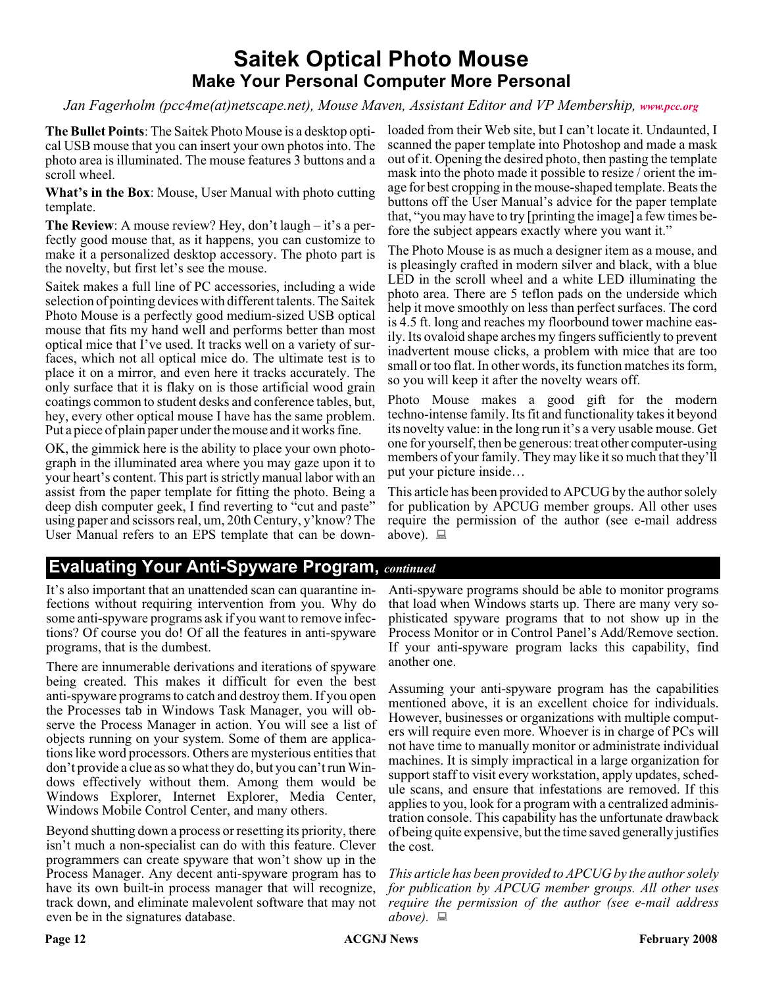## **Saitek Optical Photo Mouse Make Your Personal Computer More Personal**

#### *Jan Fagerholm (pcc4me(at)netscape.net), Mouse Maven, Assistant Editor and VP Membership, [www.pcc.org](http://www.pcc.org)*

**The Bullet Points**: The Saitek Photo Mouse is a desktop optical USB mouse that you can insert your own photos into. The photo area is illuminated. The mouse features 3 buttons and a scroll wheel.

**What's in the Box**: Mouse, User Manual with photo cutting template.

**The Review**: A mouse review? Hey, don't laugh – it's a perfectly good mouse that, as it happens, you can customize to make it a personalized desktop accessory. The photo part is the novelty, but first let's see the mouse.

Saitek makes a full line of PC accessories, including a wide selection of pointing devices with different talents. The Saitek Photo Mouse is a perfectly good medium-sized USB optical mouse that fits my hand well and performs better than most optical mice that I've used. It tracks well on a variety of surfaces, which not all optical mice do. The ultimate test is to place it on a mirror, and even here it tracks accurately. The only surface that it is flaky on is those artificial wood grain coatings common to student desks and conference tables, but, hey, every other optical mouse I have has the same problem. Put a piece of plain paper under the mouse and it works fine.

OK, the gimmick here is the ability to place your own photograph in the illuminated area where you may gaze upon it to your heart's content. This part is strictly manual labor with an assist from the paper template for fitting the photo. Being a deep dish computer geek, I find reverting to "cut and paste" using paper and scissors real, um, 20th Century, y'know? The User Manual refers to an EPS template that can be down-

loaded from their Web site, but I can't locate it. Undaunted, I scanned the paper template into Photoshop and made a mask out of it. Opening the desired photo, then pasting the template mask into the photo made it possible to resize / orient the image for best cropping in the mouse-shaped template. Beats the buttons off the User Manual's advice for the paper template that, "you may have to try [printing the image] a few times before the subject appears exactly where you want it."

The Photo Mouse is as much a designer item as a mouse, and is pleasingly crafted in modern silver and black, with a blue LED in the scroll wheel and a white LED illuminating the photo area. There are 5 teflon pads on the underside which help it move smoothly on less than perfect surfaces. The cord is 4.5 ft. long and reaches my floorbound tower machine easily. Its ovaloid shape arches my fingers sufficiently to prevent inadvertent mouse clicks, a problem with mice that are too small or too flat. In other words, its function matches its form, so you will keep it after the novelty wears off.

Photo Mouse makes a good gift for the modern techno-intense family. Its fit and functionality takes it beyond its novelty value: in the long run it's a very usable mouse. Get one for yourself, then be generous: treat other computer-using members of your family. They may like it so much that they'll put your picture inside…

This article has been provided to APCUG by the author solely for publication by APCUG member groups. All other uses require the permission of the author (see e-mail address above).  $\Box$ 

### **Evaluating Your Anti-Spyware Program,** *continued*

It's also important that an unattended scan can quarantine infections without requiring intervention from you. Why do some anti-spyware programs ask if you want to remove infections? Of course you do! Of all the features in anti-spyware programs, that is the dumbest.

There are innumerable derivations and iterations of spyware being created. This makes it difficult for even the best anti-spyware programs to catch and destroy them. If you open the Processes tab in Windows Task Manager, you will observe the Process Manager in action. You will see a list of objects running on your system. Some of them are applications like word processors. Others are mysterious entities that don't provide a clue as so what they do, but you can't run Windows effectively without them. Among them would be Windows Explorer, Internet Explorer, Media Center, Windows Mobile Control Center, and many others.

Beyond shutting down a process or resetting its priority, there isn't much a non-specialist can do with this feature. Clever programmers can create spyware that won't show up in the Process Manager. Any decent anti-spyware program has to have its own built-in process manager that will recognize, track down, and eliminate malevolent software that may not even be in the signatures database.

Anti-spyware programs should be able to monitor programs that load when Windows starts up. There are many very sophisticated spyware programs that to not show up in the Process Monitor or in Control Panel's Add/Remove section. If your anti-spyware program lacks this capability, find another one.

Assuming your anti-spyware program has the capabilities mentioned above, it is an excellent choice for individuals. However, businesses or organizations with multiple computers will require even more. Whoever is in charge of PCs will not have time to manually monitor or administrate individual machines. It is simply impractical in a large organization for support staff to visit every workstation, apply updates, schedule scans, and ensure that infestations are removed. If this applies to you, look for a program with a centralized administration console. This capability has the unfortunate drawback of being quite expensive, but the time saved generally justifies the cost.

*This article has been provided to APCUG by the author solely for publication by APCUG member groups. All other uses require the permission of the author (see e-mail address above).*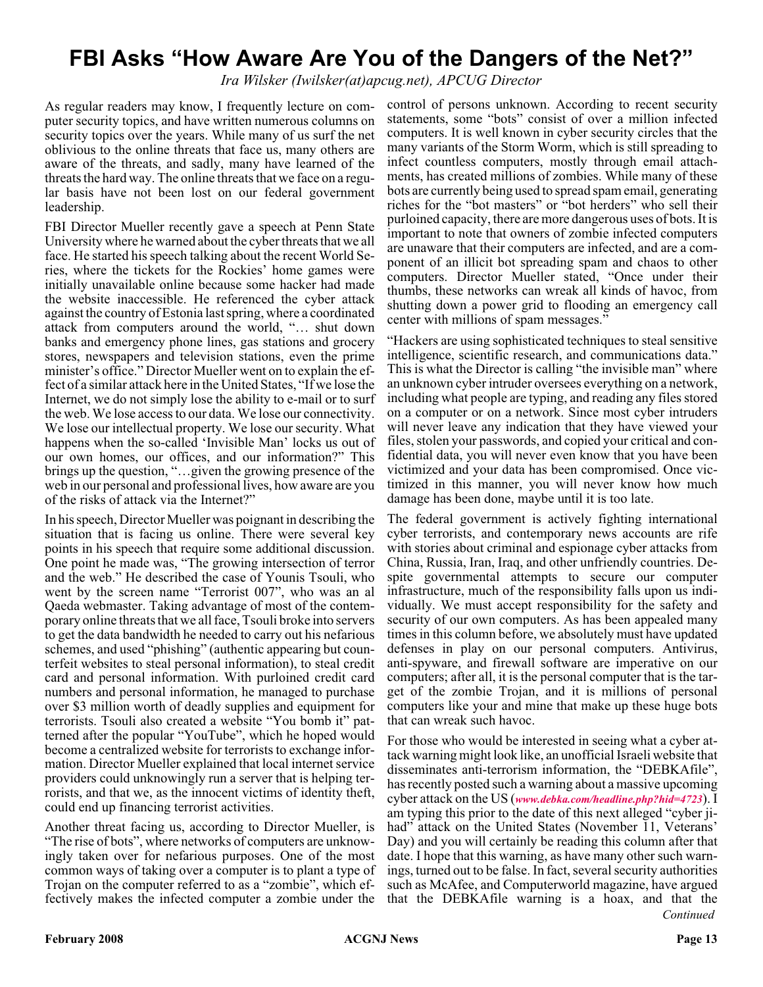## **FBI Asks "How Aware Are You of the Dangers of the Net?"**

*Ira Wilsker (Iwilsker(at)apcug.net), APCUG Director*

As regular readers may know, I frequently lecture on computer security topics, and have written numerous columns on security topics over the years. While many of us surf the net oblivious to the online threats that face us, many others are aware of the threats, and sadly, many have learned of the threats the hard way. The online threats that we face on a regular basis have not been lost on our federal government leadership.

FBI Director Mueller recently gave a speech at Penn State University where he warned about the cyber threats that we all face. He started his speech talking about the recent World Series, where the tickets for the Rockies' home games were initially unavailable online because some hacker had made the website inaccessible. He referenced the cyber attack against the country of Estonia last spring, where a coordinated attack from computers around the world, "… shut down banks and emergency phone lines, gas stations and grocery stores, newspapers and television stations, even the prime minister's office." Director Mueller went on to explain the effect of a similar attack here in the United States, "If we lose the Internet, we do not simply lose the ability to e-mail or to surf the web. We lose access to our data. We lose our connectivity. We lose our intellectual property. We lose our security. What happens when the so-called 'Invisible Man' locks us out of our own homes, our offices, and our information?" This brings up the question, "…given the growing presence of the web in our personal and professional lives, how aware are you of the risks of attack via the Internet?"

In his speech, Director Mueller was poignant in describing the situation that is facing us online. There were several key points in his speech that require some additional discussion. One point he made was, "The growing intersection of terror and the web." He described the case of Younis Tsouli, who went by the screen name "Terrorist 007", who was an al Qaeda webmaster. Taking advantage of most of the contemporary online threats that we all face, Tsouli broke into servers to get the data bandwidth he needed to carry out his nefarious schemes, and used "phishing" (authentic appearing but counterfeit websites to steal personal information), to steal credit card and personal information. With purloined credit card numbers and personal information, he managed to purchase over \$3 million worth of deadly supplies and equipment for terrorists. Tsouli also created a website "You bomb it" patterned after the popular "YouTube", which he hoped would become a centralized website for terrorists to exchange information. Director Mueller explained that local internet service providers could unknowingly run a server that is helping terrorists, and that we, as the innocent victims of identity theft, could end up financing terrorist activities.

Another threat facing us, according to Director Mueller, is "The rise of bots", where networks of computers are unknowingly taken over for nefarious purposes. One of the most common ways of taking over a computer is to plant a type of Trojan on the computer referred to as a "zombie", which effectively makes the infected computer a zombie under the

control of persons unknown. According to recent security statements, some "bots" consist of over a million infected computers. It is well known in cyber security circles that the many variants of the Storm Worm, which is still spreading to infect countless computers, mostly through email attachments, has created millions of zombies. While many of these bots are currently being used to spread spam email, generating riches for the "bot masters" or "bot herders" who sell their purloined capacity, there are more dangerous uses of bots. It is important to note that owners of zombie infected computers are unaware that their computers are infected, and are a component of an illicit bot spreading spam and chaos to other computers. Director Mueller stated, "Once under their thumbs, these networks can wreak all kinds of havoc, from shutting down a power grid to flooding an emergency call center with millions of spam messages."

"Hackers are using sophisticated techniques to steal sensitive intelligence, scientific research, and communications data." This is what the Director is calling "the invisible man" where an unknown cyber intruder oversees everything on a network, including what people are typing, and reading any files stored on a computer or on a network. Since most cyber intruders will never leave any indication that they have viewed your files, stolen your passwords, and copied your critical and confidential data, you will never even know that you have been victimized and your data has been compromised. Once victimized in this manner, you will never know how much damage has been done, maybe until it is too late.

The federal government is actively fighting international cyber terrorists, and contemporary news accounts are rife with stories about criminal and espionage cyber attacks from China, Russia, Iran, Iraq, and other unfriendly countries. Despite governmental attempts to secure our computer infrastructure, much of the responsibility falls upon us individually. We must accept responsibility for the safety and security of our own computers. As has been appealed many times in this column before, we absolutely must have updated defenses in play on our personal computers. Antivirus, anti-spyware, and firewall software are imperative on our computers; after all, it is the personal computer that is the target of the zombie Trojan, and it is millions of personal computers like your and mine that make up these huge bots that can wreak such havoc.

*Continued* For those who would be interested in seeing what a cyber attack warning might look like, an unofficial Israeli website that disseminates anti-terrorism information, the "DEBKAfile", has recently posted such a warning about a massive upcoming cyber attack on the US (*[www.debka.com/headline.php?hid=4723](http://www.debka.com/headline.php?hid=4723)*). I am typing this prior to the date of this next alleged "cyber jihad" attack on the United States (November 11, Veterans' Day) and you will certainly be reading this column after that date. I hope that this warning, as have many other such warnings, turned out to be false. In fact, several security authorities such as McAfee, and Computerworld magazine, have argued that the DEBKAfile warning is a hoax, and that the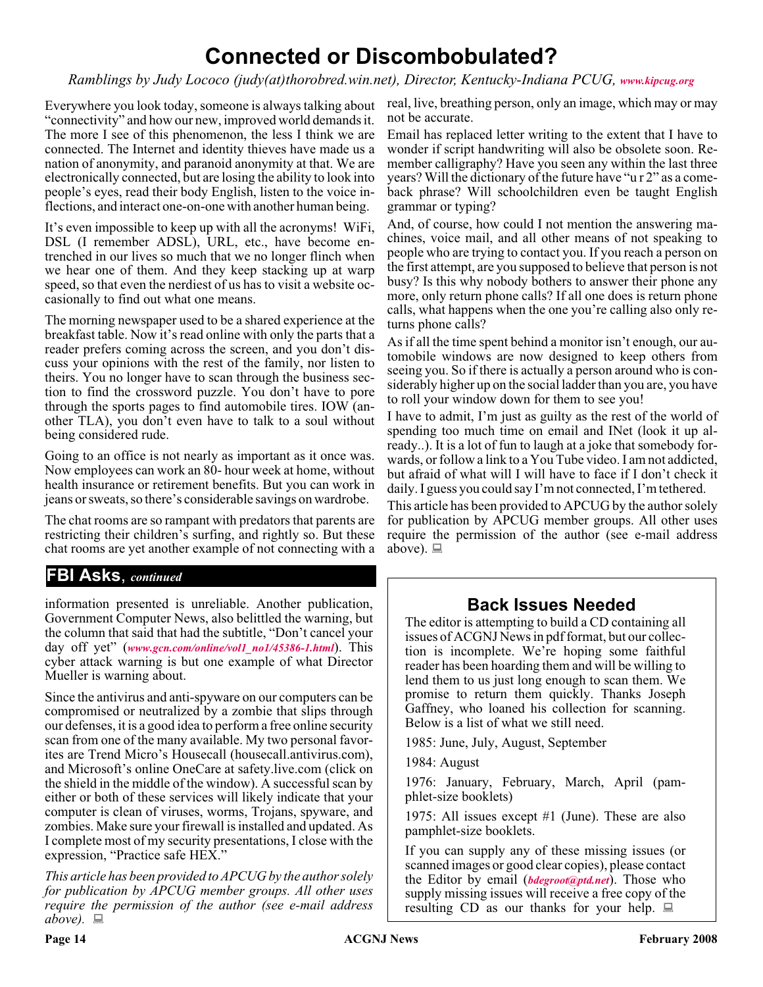## **Connected or Discombobulated?**

*Ramblings by Judy Lococo (judy(at)thorobred.win.net), Director, Kentucky-Indiana PCUG, [www.kipcug.org](http://www.kipcug.org)*

"connectivity" and how our new, improved world demands it. The more I see of this phenomenon, the less I think we are connected. The Internet and identity thieves have made us a nation of anonymity, and paranoid anonymity at that. We are electronically connected, but are losing the ability to look into people's eyes, read their body English, listen to the voice inflections, and interact one-on-one with another human being.

It's even impossible to keep up with all the acronyms! WiFi, DSL (I remember ADSL), URL, etc., have become entrenched in our lives so much that we no longer flinch when we hear one of them. And they keep stacking up at warp speed, so that even the nerdiest of us has to visit a website occasionally to find out what one means.

The morning newspaper used to be a shared experience at the breakfast table. Now it's read online with only the parts that a reader prefers coming across the screen, and you don't discuss your opinions with the rest of the family, nor listen to theirs. You no longer have to scan through the business section to find the crossword puzzle. You don't have to pore through the sports pages to find automobile tires. IOW (another TLA), you don't even have to talk to a soul without being considered rude.

Going to an office is not nearly as important as it once was. Now employees can work an 80- hour week at home, without health insurance or retirement benefits. But you can work in jeans or sweats, so there's considerable savings on wardrobe.

The chat rooms are so rampant with predators that parents are restricting their children's surfing, and rightly so. But these chat rooms are yet another example of not connecting with a

#### **FBI Asks**, *continued*

information presented is unreliable. Another publication, Government Computer News, also belittled the warning, but the column that said that had the subtitle, "Don't cancel your day off yet" (*[www.gcn.com/online/vol1\\_no1/45386-1.html](http://www.gcn.com/online/vol1_no1/45386-1.html)*). This cyber attack warning is but one example of what Director Mueller is warning about.

Since the antivirus and anti-spyware on our computers can be compromised or neutralized by a zombie that slips through our defenses, it is a good idea to perform a free online security scan from one of the many available. My two personal favorites are Trend Micro's Housecall (housecall.antivirus.com), and Microsoft's online OneCare at safety.live.com (click on the shield in the middle of the window). A successful scan by either or both of these services will likely indicate that your computer is clean of viruses, worms, Trojans, spyware, and zombies. Make sure your firewall is installed and updated. As I complete most of my security presentations, I close with the expression, "Practice safe HEX."

*This article has been provided to APCUG by the author solely for publication by APCUG member groups. All other uses require the permission of the author (see e-mail address above).*

Everywhere you look today, someone is always talking about real, live, breathing person, only an image, which may or may not be accurate.

> Email has replaced letter writing to the extent that I have to wonder if script handwriting will also be obsolete soon. Remember calligraphy? Have you seen any within the last three years? Will the dictionary of the future have "u r 2" as a comeback phrase? Will schoolchildren even be taught English grammar or typing?

> And, of course, how could I not mention the answering machines, voice mail, and all other means of not speaking to people who are trying to contact you. If you reach a person on the first attempt, are you supposed to believe that person is not busy? Is this why nobody bothers to answer their phone any more, only return phone calls? If all one does is return phone calls, what happens when the one you're calling also only returns phone calls?

> As if all the time spent behind a monitor isn't enough, our automobile windows are now designed to keep others from seeing you. So if there is actually a person around who is considerably higher up on the social ladder than you are, you have to roll your window down for them to see you!

> I have to admit, I'm just as guilty as the rest of the world of spending too much time on email and INet (look it up already..). It is a lot of fun to laugh at a joke that somebody forwards, or follow a link to a You Tube video. I am not addicted, but afraid of what will I will have to face if I don't check it daily. I guess you could say I'm not connected, I'm tethered.

> This article has been provided to APCUG by the author solely for publication by APCUG member groups. All other uses require the permission of the author (see e-mail address above).  $\Box$

### **Back Issues Needed**

The editor is attempting to build a CD containing all issues of ACGNJ News in pdf format, but our collection is incomplete. We're hoping some faithful reader has been hoarding them and will be willing to lend them to us just long enough to scan them. We promise to return them quickly. Thanks Joseph Gaffney, who loaned his collection for scanning. Below is a list of what we still need.

1985: June, July, August, September

1984: August

1976: January, February, March, April (pamphlet-size booklets)

1975: All issues except #1 (June). These are also pamphlet-size booklets.

If you can supply any of these missing issues (or scanned images or good clear copies), please contact the Editor by email (*[bdegroot@ptd.net](mailto:bdegroot@ptd.net)*). Those who supply missing issues will receive a free copy of the resulting CD as our thanks for your help.  $\Box$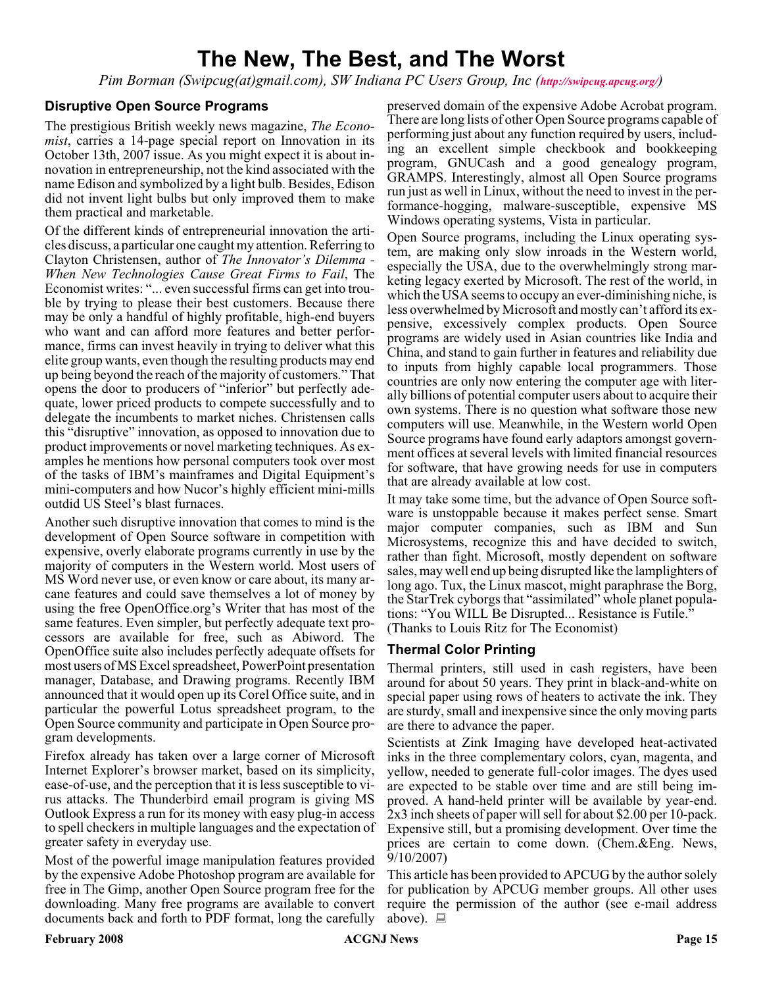## **The New, The Best, and The Worst**

*Pim Borman (Swipcug(at)gmail.com), SW Indiana PC Users Group, Inc (<http://swipcug.apcug.org/>)*

#### **Disruptive Open Source Programs**

The prestigious British weekly news magazine, *The Economist*, carries a 14-page special report on Innovation in its October 13th, 2007 issue. As you might expect it is about innovation in entrepreneurship, not the kind associated with the name Edison and symbolized by a light bulb. Besides, Edison did not invent light bulbs but only improved them to make them practical and marketable.

Of the different kinds of entrepreneurial innovation the articles discuss, a particular one caught my attention. Referring to Clayton Christensen, author of *The Innovator's Dilemma - When New Technologies Cause Great Firms to Fail*, The Economist writes: "... even successful firms can get into trouble by trying to please their best customers. Because there may be only a handful of highly profitable, high-end buyers who want and can afford more features and better performance, firms can invest heavily in trying to deliver what this elite group wants, even though the resulting products may end up being beyond the reach of the majority of customers." That opens the door to producers of "inferior" but perfectly adequate, lower priced products to compete successfully and to delegate the incumbents to market niches. Christensen calls this "disruptive" innovation, as opposed to innovation due to product improvements or novel marketing techniques. As examples he mentions how personal computers took over most of the tasks of IBM's mainframes and Digital Equipment's mini-computers and how Nucor's highly efficient mini-mills outdid US Steel's blast furnaces.

Another such disruptive innovation that comes to mind is the development of Open Source software in competition with expensive, overly elaborate programs currently in use by the majority of computers in the Western world. Most users of MS Word never use, or even know or care about, its many arcane features and could save themselves a lot of money by using the free OpenOffice.org's Writer that has most of the same features. Even simpler, but perfectly adequate text processors are available for free, such as Abiword. The OpenOffice suite also includes perfectly adequate offsets for most users of MS Excel spreadsheet, PowerPoint presentation manager, Database, and Drawing programs. Recently IBM announced that it would open up its Corel Office suite, and in particular the powerful Lotus spreadsheet program, to the Open Source community and participate in Open Source program developments.

Firefox already has taken over a large corner of Microsoft Internet Explorer's browser market, based on its simplicity, ease-of-use, and the perception that it is less susceptible to virus attacks. The Thunderbird email program is giving MS Outlook Express a run for its money with easy plug-in access to spell checkers in multiple languages and the expectation of greater safety in everyday use.

Most of the powerful image manipulation features provided by the expensive Adobe Photoshop program are available for free in The Gimp, another Open Source program free for the downloading. Many free programs are available to convert documents back and forth to PDF format, long the carefully

preserved domain of the expensive Adobe Acrobat program. There are long lists of other Open Source programs capable of performing just about any function required by users, including an excellent simple checkbook and bookkeeping program, GNUCash and a good genealogy program, GRAMPS. Interestingly, almost all Open Source programs run just as well in Linux, without the need to invest in the performance-hogging, malware-susceptible, expensive MS Windows operating systems, Vista in particular.

Open Source programs, including the Linux operating system, are making only slow inroads in the Western world, especially the USA, due to the overwhelmingly strong marketing legacy exerted by Microsoft. The rest of the world, in which the USA seems to occupy an ever-diminishing niche, is less overwhelmed by Microsoft and mostly can't afford its expensive, excessively complex products. Open Source programs are widely used in Asian countries like India and China, and stand to gain further in features and reliability due to inputs from highly capable local programmers. Those countries are only now entering the computer age with literally billions of potential computer users about to acquire their own systems. There is no question what software those new computers will use. Meanwhile, in the Western world Open Source programs have found early adaptors amongst government offices at several levels with limited financial resources for software, that have growing needs for use in computers that are already available at low cost.

It may take some time, but the advance of Open Source software is unstoppable because it makes perfect sense. Smart major computer companies, such as IBM and Sun Microsystems, recognize this and have decided to switch, rather than fight. Microsoft, mostly dependent on software sales, may well end up being disrupted like the lamplighters of long ago. Tux, the Linux mascot, might paraphrase the Borg, the StarTrek cyborgs that "assimilated" whole planet populations: "You WILL Be Disrupted... Resistance is Futile." (Thanks to Louis Ritz for The Economist)

#### **Thermal Color Printing**

Thermal printers, still used in cash registers, have been around for about 50 years. They print in black-and-white on special paper using rows of heaters to activate the ink. They are sturdy, small and inexpensive since the only moving parts are there to advance the paper.

Scientists at Zink Imaging have developed heat-activated inks in the three complementary colors, cyan, magenta, and yellow, needed to generate full-color images. The dyes used are expected to be stable over time and are still being improved. A hand-held printer will be available by year-end. 2x3 inch sheets of paper will sell for about \$2.00 per 10-pack. Expensive still, but a promising development. Over time the prices are certain to come down. (Chem.&Eng. News, 9/10/2007)

This article has been provided to APCUG by the author solely for publication by APCUG member groups. All other uses require the permission of the author (see e-mail address above).  $\Box$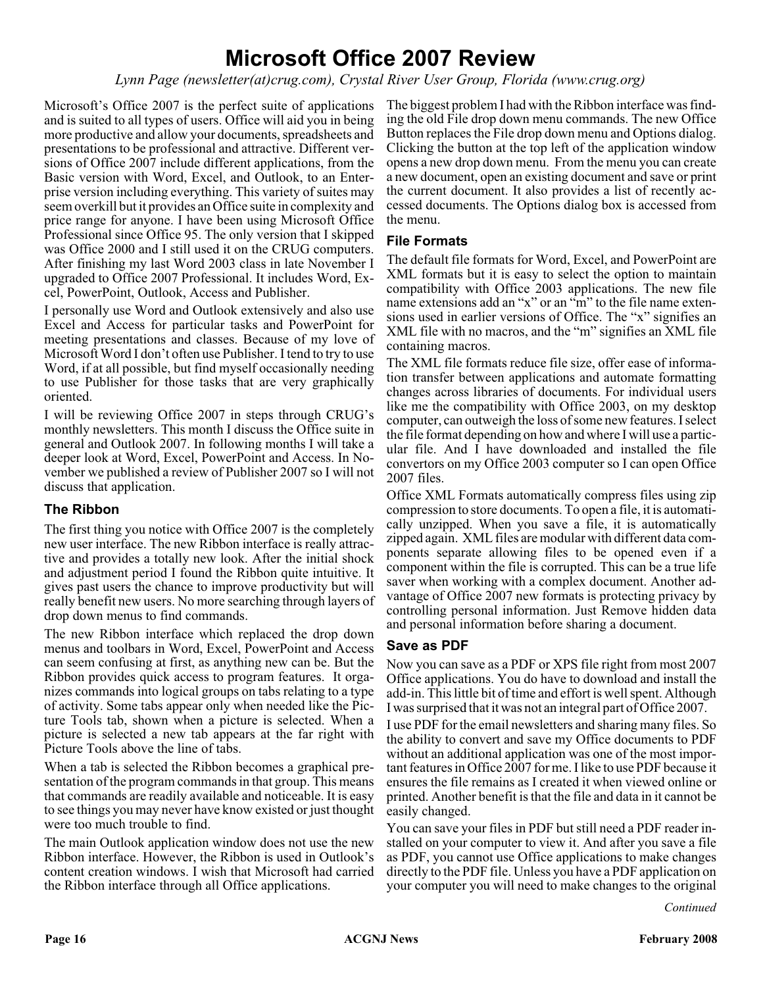## **Microsoft Office 2007 Review**

*Lynn Page (newsletter(at)crug.com), Crystal River User Group, Florida (www.crug.org)*

Microsoft's Office 2007 is the perfect suite of applications and is suited to all types of users. Office will aid you in being more productive and allow your documents, spreadsheets and presentations to be professional and attractive. Different versions of Office 2007 include different applications, from the Basic version with Word, Excel, and Outlook, to an Enterprise version including everything. This variety of suites may seem overkill but it provides an Office suite in complexity and price range for anyone. I have been using Microsoft Office Professional since Office 95. The only version that I skipped was Office 2000 and I still used it on the CRUG computers. After finishing my last Word 2003 class in late November I upgraded to Office 2007 Professional. It includes Word, Excel, PowerPoint, Outlook, Access and Publisher.

I personally use Word and Outlook extensively and also use Excel and Access for particular tasks and PowerPoint for meeting presentations and classes. Because of my love of Microsoft Word I don't often use Publisher. I tend to try to use Word, if at all possible, but find myself occasionally needing to use Publisher for those tasks that are very graphically oriented.

I will be reviewing Office 2007 in steps through CRUG's monthly newsletters. This month I discuss the Office suite in general and Outlook 2007. In following months I will take a deeper look at Word, Excel, PowerPoint and Access. In November we published a review of Publisher 2007 so I will not discuss that application.

#### **The Ribbon**

The first thing you notice with Office 2007 is the completely new user interface. The new Ribbon interface is really attractive and provides a totally new look. After the initial shock and adjustment period I found the Ribbon quite intuitive. It gives past users the chance to improve productivity but will really benefit new users. No more searching through layers of drop down menus to find commands.

The new Ribbon interface which replaced the drop down menus and toolbars in Word, Excel, PowerPoint and Access can seem confusing at first, as anything new can be. But the Ribbon provides quick access to program features. It organizes commands into logical groups on tabs relating to a type of activity. Some tabs appear only when needed like the Picture Tools tab, shown when a picture is selected. When a picture is selected a new tab appears at the far right with Picture Tools above the line of tabs.

When a tab is selected the Ribbon becomes a graphical presentation of the program commands in that group. This means that commands are readily available and noticeable. It is easy to see things you may never have know existed or just thought were too much trouble to find.

The main Outlook application window does not use the new Ribbon interface. However, the Ribbon is used in Outlook's content creation windows. I wish that Microsoft had carried the Ribbon interface through all Office applications.

The biggest problem I had with the Ribbon interface was finding the old File drop down menu commands. The new Office Button replaces the File drop down menu and Options dialog. Clicking the button at the top left of the application window opens a new drop down menu. From the menu you can create a new document, open an existing document and save or print the current document. It also provides a list of recently accessed documents. The Options dialog box is accessed from the menu.

#### **File Formats**

The default file formats for Word, Excel, and PowerPoint are XML formats but it is easy to select the option to maintain compatibility with Office 2003 applications. The new file name extensions add an "x" or an "m" to the file name extensions used in earlier versions of Office. The "x" signifies an XML file with no macros, and the "m" signifies an XML file containing macros.

The XML file formats reduce file size, offer ease of information transfer between applications and automate formatting changes across libraries of documents. For individual users like me the compatibility with Office 2003, on my desktop computer, can outweigh the loss of some new features. I select the file format depending on how and where I will use a particular file. And  $\overline{I}$  have downloaded and installed the file convertors on my Office 2003 computer so I can open Office 2007 files.

Office XML Formats automatically compress files using zip compression to store documents. To open a file, it is automatically unzipped. When you save a file, it is automatically zipped again. XML files are modular with different data components separate allowing files to be opened even if a component within the file is corrupted. This can be a true life saver when working with a complex document. Another advantage of Office 2007 new formats is protecting privacy by controlling personal information. Just Remove hidden data and personal information before sharing a document.

#### **Save as PDF**

Now you can save as a PDF or XPS file right from most 2007 Office applications. You do have to download and install the add-in. This little bit of time and effort is well spent. Although I was surprised that it was not an integral part of Office 2007.

I use PDF for the email newsletters and sharing many files. So the ability to convert and save my Office documents to PDF without an additional application was one of the most important features in Office 2007 for me. I like to use PDF because it ensures the file remains as I created it when viewed online or printed. Another benefit is that the file and data in it cannot be easily changed.

You can save your files in PDF but still need a PDF reader installed on your computer to view it. And after you save a file as PDF, you cannot use Office applications to make changes directly to the PDF file. Unless you have a PDF application on your computer you will need to make changes to the original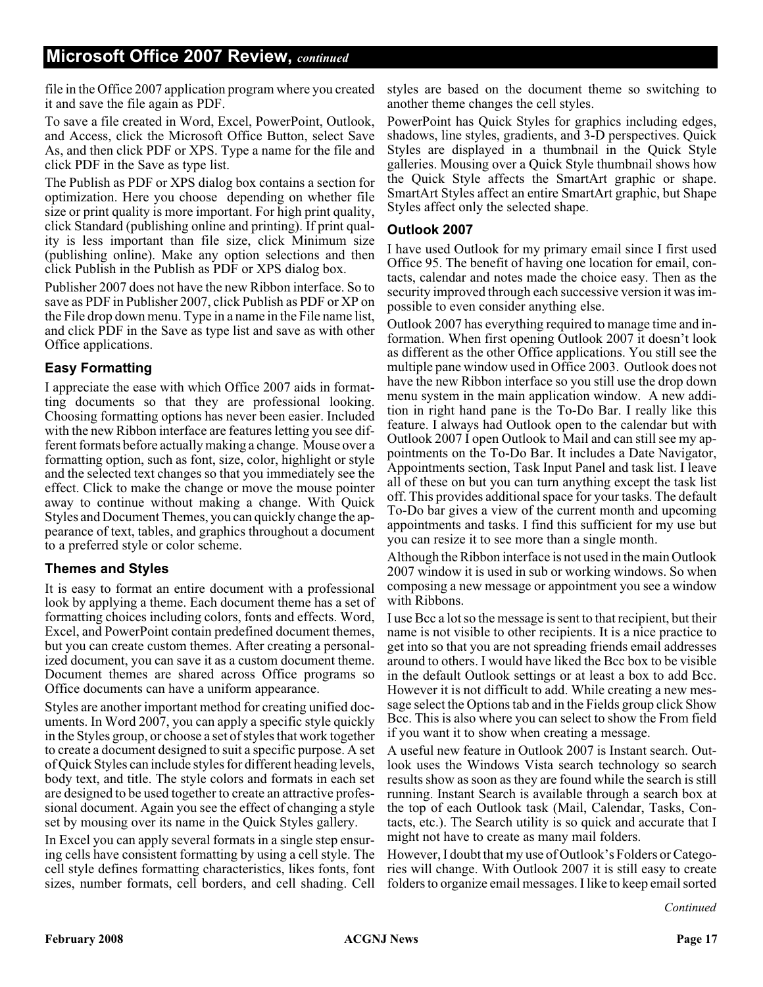file in the Office 2007 application program where you created it and save the file again as PDF.

To save a file created in Word, Excel, PowerPoint, Outlook, and Access, click the Microsoft Office Button, select Save As, and then click PDF or XPS. Type a name for the file and click PDF in the Save as type list.

The Publish as PDF or XPS dialog box contains a section for optimization. Here you choose depending on whether file size or print quality is more important. For high print quality, click Standard (publishing online and printing). If print quality is less important than file size, click Minimum size (publishing online). Make any option selections and then click Publish in the Publish as PDF or XPS dialog box.

Publisher 2007 does not have the new Ribbon interface. So to save as PDF in Publisher 2007, click Publish as PDF or XP on the File drop down menu. Type in a name in the File name list, and click PDF in the Save as type list and save as with other Office applications.

#### **Easy Formatting**

I appreciate the ease with which Office 2007 aids in formatting documents so that they are professional looking. Choosing formatting options has never been easier. Included with the new Ribbon interface are features letting you see different formats before actually making a change. Mouse over a formatting option, such as font, size, color, highlight or style and the selected text changes so that you immediately see the effect. Click to make the change or move the mouse pointer away to continue without making a change. With Quick Styles and Document Themes, you can quickly change the appearance of text, tables, and graphics throughout a document to a preferred style or color scheme.

#### **Themes and Styles**

It is easy to format an entire document with a professional look by applying a theme. Each document theme has a set of formatting choices including colors, fonts and effects. Word, Excel, and PowerPoint contain predefined document themes, but you can create custom themes. After creating a personalized document, you can save it as a custom document theme. Document themes are shared across Office programs so Office documents can have a uniform appearance.

Styles are another important method for creating unified documents. In Word 2007, you can apply a specific style quickly in the Styles group, or choose a set of styles that work together to create a document designed to suit a specific purpose. A set of Quick Styles can include styles for different heading levels, body text, and title. The style colors and formats in each set are designed to be used together to create an attractive professional document. Again you see the effect of changing a style set by mousing over its name in the Quick Styles gallery.

In Excel you can apply several formats in a single step ensuring cells have consistent formatting by using a cell style. The cell style defines formatting characteristics, likes fonts, font sizes, number formats, cell borders, and cell shading. Cell

styles are based on the document theme so switching to another theme changes the cell styles.

PowerPoint has Quick Styles for graphics including edges, shadows, line styles, gradients, and 3-D perspectives. Quick Styles are displayed in a thumbnail in the Quick Style galleries. Mousing over a Quick Style thumbnail shows how the Quick Style affects the SmartArt graphic or shape. SmartArt Styles affect an entire SmartArt graphic, but Shape Styles affect only the selected shape.

#### **Outlook 2007**

I have used Outlook for my primary email since I first used Office 95. The benefit of having one location for email, contacts, calendar and notes made the choice easy. Then as the security improved through each successive version it was impossible to even consider anything else.

Outlook 2007 has everything required to manage time and information. When first opening Outlook 2007 it doesn't look as different as the other Office applications. You still see the multiple pane window used in Office 2003. Outlook does not have the new Ribbon interface so you still use the drop down menu system in the main application window. A new addition in right hand pane is the To-Do Bar. I really like this feature. I always had Outlook open to the calendar but with Outlook 2007 I open Outlook to Mail and can still see my appointments on the To-Do Bar. It includes a Date Navigator, Appointments section, Task Input Panel and task list. I leave all of these on but you can turn anything except the task list off. This provides additional space for your tasks. The default To-Do bar gives a view of the current month and upcoming appointments and tasks. I find this sufficient for my use but you can resize it to see more than a single month.

Although the Ribbon interface is not used in the main Outlook 2007 window it is used in sub or working windows. So when composing a new message or appointment you see a window with Ribbons.

I use Bcc a lot so the message is sent to that recipient, but their name is not visible to other recipients. It is a nice practice to get into so that you are not spreading friends email addresses around to others. I would have liked the Bcc box to be visible in the default Outlook settings or at least a box to add Bcc. However it is not difficult to add. While creating a new message select the Options tab and in the Fields group click Show Bcc. This is also where you can select to show the From field if you want it to show when creating a message.

A useful new feature in Outlook 2007 is Instant search. Outlook uses the Windows Vista search technology so search results show as soon as they are found while the search is still running. Instant Search is available through a search box at the top of each Outlook task (Mail, Calendar, Tasks, Contacts, etc.). The Search utility is so quick and accurate that I might not have to create as many mail folders.

However, I doubt that my use of Outlook's Folders or Categories will change. With Outlook 2007 it is still easy to create folders to organize email messages. I like to keep email sorted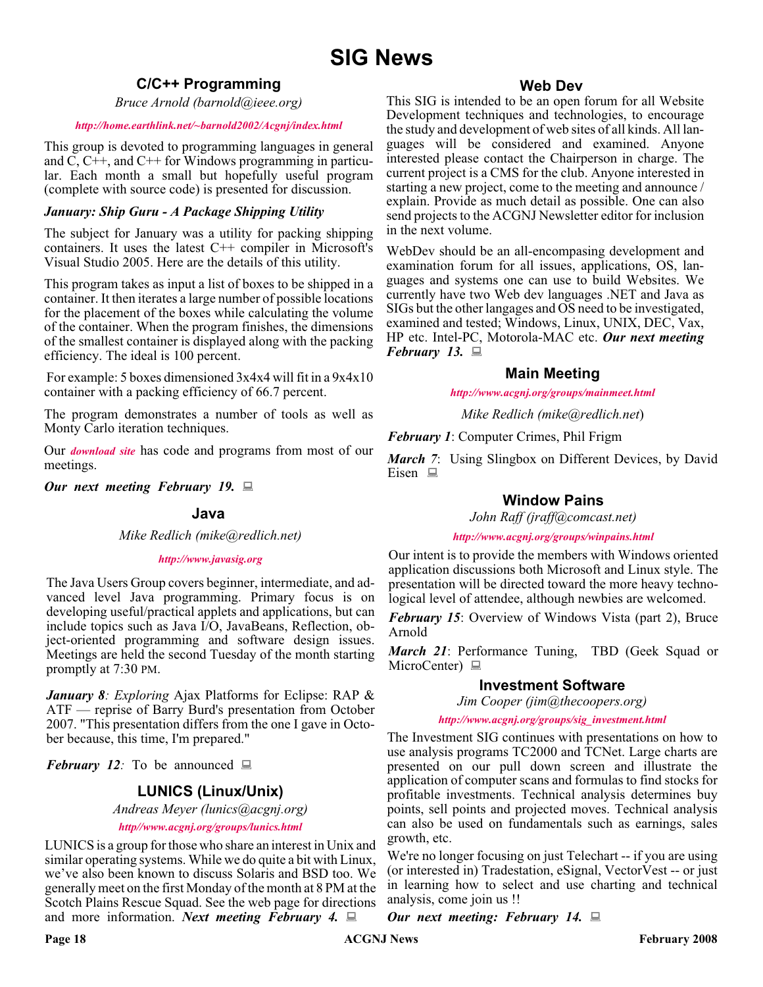## **SIG News**

#### **C/C++ Programming**

*Bruce Arnold (barnold@ieee.org)*

#### *<http://home.earthlink.net/~barnold2002/Acgnj/index.html>*

This group is devoted to programming languages in general and C, C++, and C++ for Windows programming in particular. Each month a small but hopefully useful program (complete with source code) is presented for discussion.

#### *January: Ship Guru - A Package Shipping Utility*

The subject for January was a utility for packing shipping containers. It uses the latest C++ compiler in Microsoft's Visual Studio 2005. Here are the details of this utility.

This program takes as input a list of boxes to be shipped in a container. It then iterates a large number of possible locations for the placement of the boxes while calculating the volume of the container. When the program finishes, the dimensions of the smallest container is displayed along with the packing efficiency. The ideal is 100 percent.

For example: 5 boxes dimensioned 3x4x4 will fit in a 9x4x10 container with a packing efficiency of 66.7 percent.

The program demonstrates a number of tools as well as Monty Carlo iteration techniques.

Our *[download site](http://home.earthlink.net/~barnold2002/Acgnj/Download.htm)* has code and programs from most of our meetings.

*Our next meeting February 19.*

#### **Java**

*Mike Redlich (mike@redlich.net)*

#### *<http://www.javasig.org>*

The Java Users Group covers beginner, intermediate, and advanced level Java programming. Primary focus is on developing useful/practical applets and applications, but can include topics such as Java I/O, JavaBeans, Reflection, object-oriented programming and software design issues. Meetings are held the second Tuesday of the month starting promptly at 7:30 PM.

*January 8: Exploring* Ajax Platforms for Eclipse: RAP & ATF — reprise of Barry Burd's presentation from October 2007. "This presentation differs from the one I gave in October because, this time, I'm prepared."

*February 12:* To be announced  $\Box$ 

#### **LUNICS (Linux/Unix)**

*Andreas Meyer (lunics@acgnj.org)*

*<http//www.acgnj.org/groups/lunics.html>*

LUNICS is a group for those who share an interest in Unix and similar operating systems. While we do quite a bit with Linux, we've also been known to discuss Solaris and BSD too. We generally meet on the first Monday of the month at 8 PM at the Scotch Plains Rescue Squad. See the web page for directions and more information. *Next meeting February 4.*

#### **Web Dev**

This SIG is intended to be an open forum for all Website Development techniques and technologies, to encourage the study and development of web sites of all kinds. All languages will be considered and examined. Anyone interested please contact the Chairperson in charge. The current project is a CMS for the club. Anyone interested in starting a new project, come to the meeting and announce / explain. Provide as much detail as possible. One can also send projects to the ACGNJ Newsletter editor for inclusion in the next volume.

WebDev should be an all-encompasing development and examination forum for all issues, applications, OS, languages and systems one can use to build Websites. We currently have two Web dev languages .NET and Java as SIGs but the other langages and OS need to be investigated, examined and tested; Windows, Linux, UNIX, DEC, Vax, HP etc. Intel-PC, Motorola-MAC etc. *Our next meeting February 13.*

#### **Main Meeting**

*<http://www.acgnj.org/groups/mainmeet.html>*

*Mike Redlich (mike@redlich.net*)

*February 1*: Computer Crimes, Phil Frigm

*March 7*: Using Slingbox on Different Devices, by David Eisen  $\Box$ 

#### **Window Pains**

*John Raff (jraff@comcast.net)*

*<http://www.acgnj.org/groups/winpains.html>*

Our intent is to provide the members with Windows oriented application discussions both Microsoft and Linux style. The presentation will be directed toward the more heavy technological level of attendee, although newbies are welcomed.

*February 15*: Overview of Windows Vista (part 2), Bruce Arnold

*March 21*: Performance Tuning, TBD (Geek Squad or MicroCenter)  $\Box$ 

#### **Investment Software**

*Jim Cooper (jim@thecoopers.org)*

*[http://www.acgnj.org/groups/sig\\_investment.html](http://www.acgnj.org/groups/sig_investment.html)*

The Investment SIG continues with presentations on how to use analysis programs TC2000 and TCNet. Large charts are presented on our pull down screen and illustrate the application of computer scans and formulas to find stocks for profitable investments. Technical analysis determines buy points, sell points and projected moves. Technical analysis can also be used on fundamentals such as earnings, sales growth, etc.

We're no longer focusing on just Telechart -- if you are using (or interested in) Tradestation, eSignal, VectorVest -- or just in learning how to select and use charting and technical analysis, come join us !!

*Our next meeting: February 14.*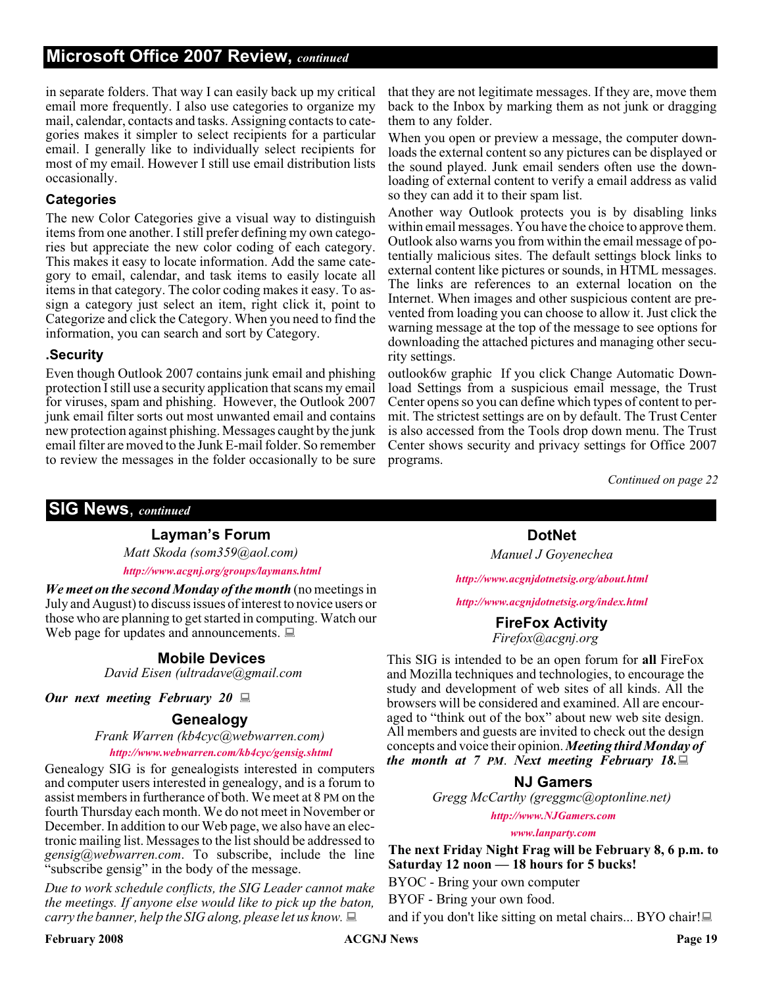#### **Microsoft Office 2007 Review,** *continued*

in separate folders. That way I can easily back up my critical email more frequently. I also use categories to organize my mail, calendar, contacts and tasks. Assigning contacts to categories makes it simpler to select recipients for a particular email. I generally like to individually select recipients for most of my email. However I still use email distribution lists occasionally.

#### **Categories**

The new Color Categories give a visual way to distinguish items from one another. I still prefer defining my own categories but appreciate the new color coding of each category. This makes it easy to locate information. Add the same category to email, calendar, and task items to easily locate all items in that category. The color coding makes it easy. To assign a category just select an item, right click it, point to Categorize and click the Category. When you need to find the information, you can search and sort by Category.

#### **.Security**

Even though Outlook 2007 contains junk email and phishing protection I still use a security application that scans my email for viruses, spam and phishing. However, the Outlook 2007 junk email filter sorts out most unwanted email and contains new protection against phishing. Messages caught by the junk email filter are moved to the Junk E-mail folder. So remember to review the messages in the folder occasionally to be sure

that they are not legitimate messages. If they are, move them back to the Inbox by marking them as not junk or dragging them to any folder.

When you open or preview a message, the computer downloads the external content so any pictures can be displayed or the sound played. Junk email senders often use the downloading of external content to verify a email address as valid so they can add it to their spam list.

Another way Outlook protects you is by disabling links within email messages. You have the choice to approve them. Outlook also warns you from within the email message of potentially malicious sites. The default settings block links to external content like pictures or sounds, in HTML messages. The links are references to an external location on the Internet. When images and other suspicious content are prevented from loading you can choose to allow it. Just click the warning message at the top of the message to see options for downloading the attached pictures and managing other security settings.

outlook6w graphic If you click Change Automatic Download Settings from a suspicious email message, the Trust Center opens so you can define which types of content to permit. The strictest settings are on by default. The Trust Center is also accessed from the Tools drop down menu. The Trust Center shows security and privacy settings for Office 2007 programs.

*Continued on page 22*

#### **SIG News**, *continued*

#### **Layman's Forum**

*Matt Skoda (som359@aol.com) <http://www.acgnj.org/groups/laymans.html>*

*We meet on the second Monday of the month* (no meetings in

July and August) to discuss issues of interest to novice users or those who are planning to get started in computing. Watch our those who are planning to get started in computing. Watch our **FireFox Activity**<br>Web page for updates and announcements.  $\Box$ 

#### **Mobile Devices**

*David Eisen (ultradave@gmail.com*

*Our next meeting February 20*

#### **Genealogy**

*Frank Warren (kb4cyc@webwarren.com)*

#### *<http://www.webwarren.com/kb4cyc/gensig.shtml>*

Genealogy SIG is for genealogists interested in computers and computer users interested in genealogy, and is a forum to assist members in furtherance of both. We meet at 8 PM on the fourth Thursday each month. We do not meet in November or December. In addition to our Web page, we also have an electronic mailing list. Messages to the list should be addressed to *gensig@webwarren.com*. To subscribe, include the line "subscribe gensig" in the body of the message.

*Due to work schedule conflicts, the SIG Leader cannot make the meetings. If anyone else would like to pick up the baton, carry the banner, help the SIG along, please let us know.*

**DotNet**

*Manuel J Goyenechea*

*<http://www.acgnjdotnetsig.org/about.html>*

*<http://www.acgnjdotnetsig.org/index.html>*

*Firefox@acgnj.org*

This SIG is intended to be an open forum for **all** FireFox and Mozilla techniques and technologies, to encourage the study and development of web sites of all kinds. All the browsers will be considered and examined. All are encouraged to "think out of the box" about new web site design. All members and guests are invited to check out the design concepts and voice their opinion. *Meeting third Monday of the month at 7 PM*. *Next meeting February 18.*

#### **NJ Gamers**

*Gregg McCarthy (greggmc@optonline.net)*

*<http://www.NJGamers.com>*

*[www.lanparty.com](http://www.lanparty.com)*

**The next Friday Night Frag will be February 8, 6 p.m. to Saturday 12 noon — 18 hours for 5 bucks!**

BYOC - Bring your own computer

BYOF - Bring your own food.

and if you don't like sitting on metal chairs... BYO chair!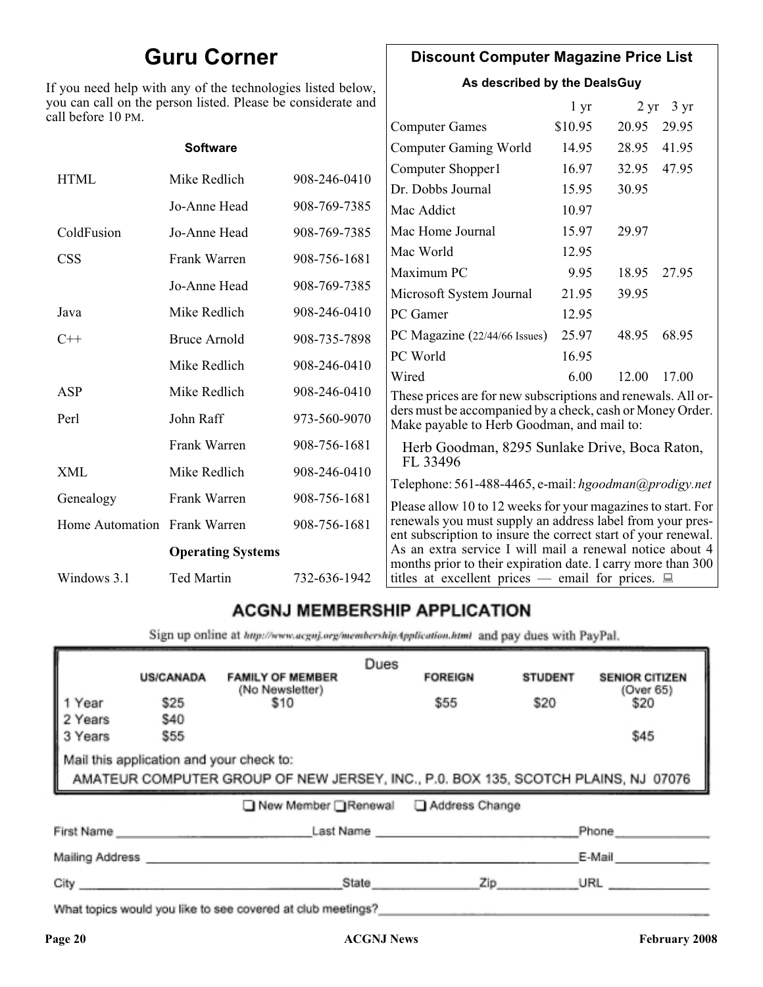## **Guru Corner**

If you need help with any of the technologies listed below, you can call on the person listed. Please be considerate and ca

#### **Discount Computer Magazine Price List**

**As described by the DealsGuy**

 $1 \text{ yr}$   $2 \text{ yr}$   $3 \text{ yr}$ 

| ll before 10 PM.             |                              |              |                                                                                                                            |         |       |       |
|------------------------------|------------------------------|--------------|----------------------------------------------------------------------------------------------------------------------------|---------|-------|-------|
|                              |                              |              | <b>Computer Games</b>                                                                                                      | \$10.95 | 20.95 | 29.95 |
|                              | <b>Software</b>              |              | <b>Computer Gaming World</b>                                                                                               | 14.95   | 28.95 | 41.95 |
| <b>HTML</b>                  | Mike Redlich                 | 908-246-0410 | Computer Shopper1                                                                                                          | 16.97   | 32.95 | 47.95 |
|                              |                              |              | Dr. Dobbs Journal                                                                                                          | 15.95   | 30.95 |       |
|                              | Jo-Anne Head                 | 908-769-7385 | Mac Addict                                                                                                                 | 10.97   |       |       |
| ColdFusion                   | Jo-Anne Head                 | 908-769-7385 | Mac Home Journal                                                                                                           | 15.97   | 29.97 |       |
| <b>CSS</b>                   | Frank Warren                 | 908-756-1681 | Mac World                                                                                                                  | 12.95   |       |       |
|                              | Jo-Anne Head<br>908-769-7385 |              | Maximum PC                                                                                                                 | 9.95    | 18.95 | 27.95 |
|                              |                              |              | Microsoft System Journal                                                                                                   | 21.95   | 39.95 |       |
| Java                         | Mike Redlich                 | 908-246-0410 | PC Gamer                                                                                                                   | 12.95   |       |       |
| $C++$                        | <b>Bruce Arnold</b>          | 908-735-7898 | PC Magazine (22/44/66 Issues)                                                                                              | 25.97   | 48.95 | 68.95 |
|                              | Mike Redlich                 | 908-246-0410 | PC World                                                                                                                   | 16.95   |       |       |
|                              |                              |              | Wired                                                                                                                      | 6.00    | 12.00 | 17.00 |
| ASP                          | Mike Redlich                 | 908-246-0410 | These prices are for new subscriptions and renewals. All or-                                                               |         |       |       |
| Perl                         | John Raff                    | 973-560-9070 | ders must be accompanied by a check, cash or Money Order.<br>Make payable to Herb Goodman, and mail to:                    |         |       |       |
|                              | Frank Warren                 | 908-756-1681 | Herb Goodman, 8295 Sunlake Drive, Boca Raton,                                                                              |         |       |       |
| XML                          | Mike Redlich                 | 908-246-0410 | FL 33496<br>Telephone: 561-488-4465, e-mail: hgoodman@prodigy.net                                                          |         |       |       |
| Genealogy                    | Frank Warren                 | 908-756-1681 | Please allow 10 to 12 weeks for your magazines to start. For                                                               |         |       |       |
| Home Automation Frank Warren |                              | 908-756-1681 | renewals you must supply an address label from your pres-<br>ent subscription to insure the correct start of your renewal. |         |       |       |
|                              | <b>Operating Systems</b>     |              | As an extra service I will mail a renewal notice about 4                                                                   |         |       |       |
| Windows 3.1                  | Ted Martin                   | 732-636-1942 | months prior to their expiration date. I carry more than 300<br>titles at excellent prices — email for prices. $\Box$      |         |       |       |
|                              |                              |              |                                                                                                                            |         |       |       |

### **ACGNJ MEMBERSHIP APPLICATION**

Sign up online at http://www.acgnj.org/membershipApplication.html and pay dues with PayPal.

|                                                                                                                               | <b>US/CANADA</b>            | <b>FAMILY OF MEMBER</b><br>(No Newsletter)                                                                      | Dues  | <b>FOREIGN</b> | <b>STUDENT</b> | <b>SENIOR CITIZEN</b><br>(Over 65) |
|-------------------------------------------------------------------------------------------------------------------------------|-----------------------------|-----------------------------------------------------------------------------------------------------------------|-------|----------------|----------------|------------------------------------|
| 1 Year                                                                                                                        | \$25                        | \$10                                                                                                            |       | \$55           | \$20           | \$20                               |
| 2 Years                                                                                                                       | <b>\$40</b>                 |                                                                                                                 |       |                |                |                                    |
| 3 Years                                                                                                                       | \$55                        |                                                                                                                 |       |                |                | \$45                               |
| Mail this application and your check to:<br>AMATEUR COMPUTER GROUP OF NEW JERSEY, INC., P.0. BOX 135, SCOTCH PLAINS, NJ 07076 |                             |                                                                                                                 |       |                |                |                                    |
|                                                                                                                               |                             | ■ New Member Renewal ■ Address Change                                                                           |       |                |                |                                    |
|                                                                                                                               | First Name                  |                                                                                                                 |       | Last Name      |                | Phone                              |
|                                                                                                                               | Mailing Address ___________ |                                                                                                                 |       |                |                | E-Mail                             |
| City                                                                                                                          |                             |                                                                                                                 | State | Zip            |                | URL                                |
|                                                                                                                               |                             | and the state of the state of the state of the state of the state of the state of the state of the state of the |       |                |                |                                    |

What topics would you like to see covered at club meetings?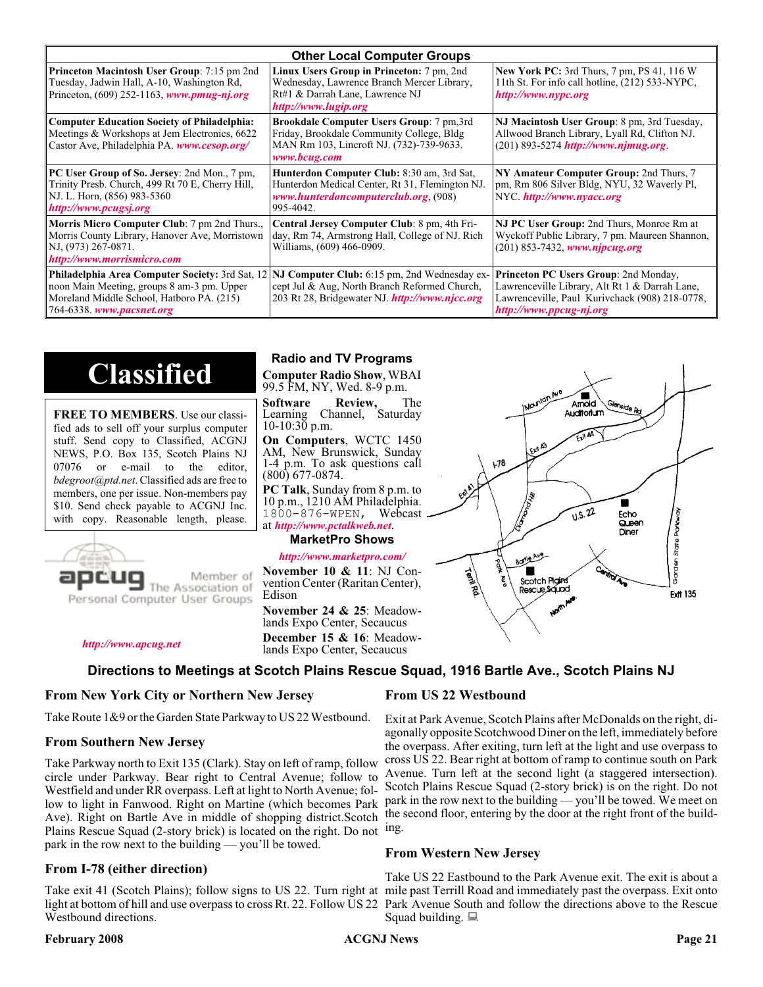| <b>Other Local Computer Groups</b>                                                                                                                         |                                                                                                                                                                                                        |                                                                                                                                                                             |  |  |  |
|------------------------------------------------------------------------------------------------------------------------------------------------------------|--------------------------------------------------------------------------------------------------------------------------------------------------------------------------------------------------------|-----------------------------------------------------------------------------------------------------------------------------------------------------------------------------|--|--|--|
| <b>Princeton Macintosh User Group:</b> 7:15 pm 2nd<br>Tuesday, Jadwin Hall, A-10, Washington Rd,<br>Princeton, $(609)$ 252-1163, www.pmug-nj.org           | Linux Users Group in Princeton: 7 pm, 2nd<br>Wednesday, Lawrence Branch Mercer Library,<br>Rt#1 & Darrah Lane, Lawrence NJ<br>http://www.lugip.org                                                     | <b>New York PC:</b> 3rd Thurs, 7 pm, PS 41, 116 W<br>11th St. For info call hotline, (212) 533-NYPC,<br>http://www.nypc.org                                                 |  |  |  |
| <b>Computer Education Society of Philadelphia:</b><br>Meetings & Workshops at Jem Electronics, 6622<br>Castor Ave, Philadelphia PA. www.cesop.org/         | <b>Brookdale Computer Users Group:</b> 7 pm, 3rd<br>Friday, Brookdale Community College, Bldg<br>MAN Rm 103, Lincroft NJ. (732)-739-9633.<br>www.bcug.com                                              | NJ Macintosh User Group: 8 pm, 3rd Tuesday,<br>Allwood Branch Library, Lyall Rd, Clifton NJ.<br>$(201)$ 893-5274 http://www.njmug.org.                                      |  |  |  |
| PC User Group of So. Jersey: 2nd Mon., 7 pm,<br>Trinity Presb. Church, 499 Rt 70 E, Cherry Hill,<br>NJ. L. Horn, (856) 983-5360<br>http://www.pcugsj.org   | Hunterdon Computer Club: 8:30 am, 3rd Sat,<br>Hunterdon Medical Center, Rt 31, Flemington NJ.<br>www.hunterdoncomputerclub.org (908)<br>995-4042.                                                      | NY Amateur Computer Group: 2nd Thurs, 7<br>pm, Rm 806 Silver Bldg, NYU, 32 Waverly Pl,<br>NYC.http://www.nyacc.org                                                          |  |  |  |
| <b>Morris Micro Computer Club:</b> 7 pm 2nd Thurs.,<br>Morris County Library, Hanover Ave, Morristown<br>NJ, (973) 267-0871.<br>http://www.morrismicro.com | Central Jersey Computer Club: 8 pm, 4th Fri-<br>day, Rm 74, Armstrong Hall, College of NJ. Rich<br>Williams, (609) 466-0909.                                                                           | NJ PC User Group: 2nd Thurs, Monroe Rm at<br>Wyckoff Public Library, 7 pm. Maureen Shannon,<br>$(201)$ 853-7432, www.njpcug.org                                             |  |  |  |
| noon Main Meeting, groups 8 am-3 pm. Upper<br>Moreland Middle School, Hatboro PA. (215)<br>764-6338. www.pacsnet.org                                       | <b>Philadelphia Area Computer Society: 3rd Sat, 12 NJ Computer Club: 6:15 pm, 2nd Wednesday ex-</b><br>cept Jul & Aug, North Branch Reformed Church,<br>203 Rt 28, Bridgewater NJ. http://www.njcc.org | <b>Princeton PC Users Group: 2nd Monday,</b><br>Lawrenceville Library, Alt Rt 1 & Darrah Lane,<br>Lawrenceville, Paul Kurivchack (908) 218-0778,<br>http://www.ppcug-nj.org |  |  |  |

## **Classified**

**FREE TO MEMBERS**. Use our classified ads to sell off your surplus computer stuff. Send copy to Classified, ACGNJ NEWS, P.O. Box 135, Scotch Plains NJ 07076 or e-mail to the editor, *bdegroot@ptd.net*. Classified ads are free to members, one per issue. Non-members pay \$10. Send check payable to ACGNJ Inc. with copy. Reasonable length, please.



Member of The Association of

*<http://www.apcug.net>*

#### **Radio and TV Programs**

**Computer Radio Show**, WBAI 99.5 FM, NY, Wed. 8-9 p.m.

**Software Review,** The Learning Channel, Saturday 10-10:30 p.m.

**On Computers**, WCTC 1450 AM, New Brunswick, Sunday 1-4 p.m. To ask questions call (800) 677-0874.

**PC Talk**, Sunday from 8 p.m. to 10 p.m., 1210 AM Philadelphia. 1800-876-WPEN, Webcast at *<http://www.pctalkweb.net>*.

#### **MarketPro Shows**

#### *<http://www.marketpro.com/>*

**November 10 & 11**: NJ Convention Center (Raritan Center), Edison

**November 24 & 25**: Meadow-<br>lands Expo Center, Secaucus **December 15 & 16**: Meadow-<br>lands Expo Center, Secaucus



 $\blacksquare$ 

#### **Directions to Meetings at Scotch Plains Rescue Squad, 1916 Bartle Ave., Scotch Plains NJ**

#### **From New York City or Northern New Jersey**

Take Route 1&9 or the Garden State Parkway to US 22 Westbound.

#### **From Southern New Jersey**

Take Parkway north to Exit 135 (Clark). Stay on left of ramp, follow circle under Parkway. Bear right to Central Avenue; follow to Westfield and under RR overpass. Left at light to North Avenue; follow to light in Fanwood. Right on Martine (which becomes Park Ave). Right on Bartle Ave in middle of shopping district.Scotch Plains Rescue Squad (2-story brick) is located on the right. Do not ing. park in the row next to the building — you'll be towed.

#### **From I-78 (either direction)**

Take exit 41 (Scotch Plains); follow signs to US 22. Turn right at mile past Terrill Road and immediately past the overpass. Exit onto light at bottom of hill and use overpass to cross Rt. 22. Follow US 22 Park Avenue South and follow the directions above to the Rescue Westbound directions.

#### **February 2008 Page 21 Page 21 Page 21 Page 21 Page 21 Page 21**

#### **From US 22 Westbound**

Exit at Park Avenue, Scotch Plains after McDonalds on the right, diagonally opposite Scotchwood Diner on the left, immediately before the overpass. After exiting, turn left at the light and use overpass to cross US 22. Bear right at bottom of ramp to continue south on Park Avenue. Turn left at the second light (a staggered intersection). Scotch Plains Rescue Squad (2-story brick) is on the right. Do not park in the row next to the building — you'll be towed. We meet on the second floor, entering by the door at the right front of the build-

#### **From Western New Jersey**

Take US 22 Eastbound to the Park Avenue exit. The exit is about a Squad building.  $\Box$